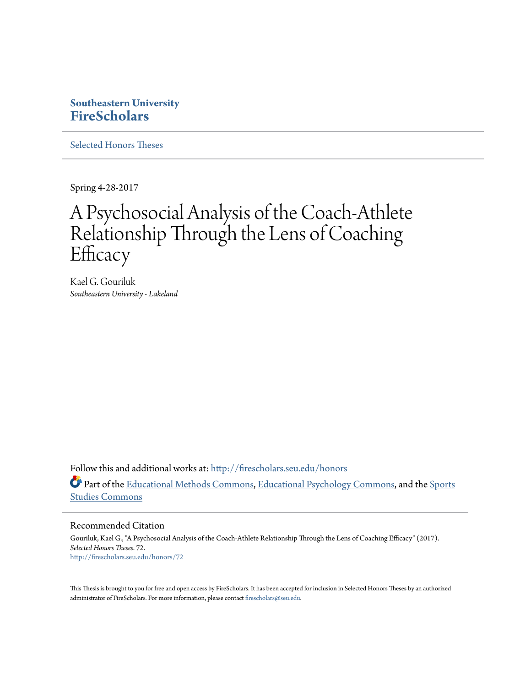## **Southeastern University [FireScholars](http://firescholars.seu.edu?utm_source=firescholars.seu.edu%2Fhonors%2F72&utm_medium=PDF&utm_campaign=PDFCoverPages)**

[Selected Honors Theses](http://firescholars.seu.edu/honors?utm_source=firescholars.seu.edu%2Fhonors%2F72&utm_medium=PDF&utm_campaign=PDFCoverPages)

Spring 4-28-2017

# A Psychosocial Analysis of the Coach-Athlete Relationship Through the Lens of Coaching **Efficacy**

Kael G. Gouriluk *Southeastern University - Lakeland*

Follow this and additional works at: [http://firescholars.seu.edu/honors](http://firescholars.seu.edu/honors?utm_source=firescholars.seu.edu%2Fhonors%2F72&utm_medium=PDF&utm_campaign=PDFCoverPages) Part of the [Educational Methods Commons,](http://network.bepress.com/hgg/discipline/1227?utm_source=firescholars.seu.edu%2Fhonors%2F72&utm_medium=PDF&utm_campaign=PDFCoverPages) [Educational Psychology Commons](http://network.bepress.com/hgg/discipline/798?utm_source=firescholars.seu.edu%2Fhonors%2F72&utm_medium=PDF&utm_campaign=PDFCoverPages), and the [Sports](http://network.bepress.com/hgg/discipline/1198?utm_source=firescholars.seu.edu%2Fhonors%2F72&utm_medium=PDF&utm_campaign=PDFCoverPages) [Studies Commons](http://network.bepress.com/hgg/discipline/1198?utm_source=firescholars.seu.edu%2Fhonors%2F72&utm_medium=PDF&utm_campaign=PDFCoverPages)

Recommended Citation

Gouriluk, Kael G., "A Psychosocial Analysis of the Coach-Athlete Relationship Through the Lens of Coaching Efficacy" (2017). *Selected Honors Theses*. 72. [http://firescholars.seu.edu/honors/72](http://firescholars.seu.edu/honors/72?utm_source=firescholars.seu.edu%2Fhonors%2F72&utm_medium=PDF&utm_campaign=PDFCoverPages)

This Thesis is brought to you for free and open access by FireScholars. It has been accepted for inclusion in Selected Honors Theses by an authorized administrator of FireScholars. For more information, please contact [firescholars@seu.edu](mailto:firescholars@seu.edu).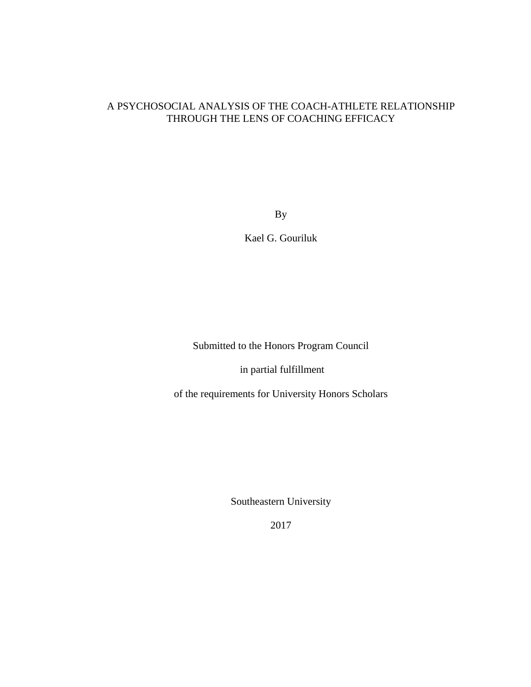### A PSYCHOSOCIAL ANALYSIS OF THE COACH-ATHLETE RELATIONSHIP THROUGH THE LENS OF COACHING EFFICACY

By

Kael G. Gouriluk

Submitted to the Honors Program Council

in partial fulfillment

of the requirements for University Honors Scholars

Southeastern University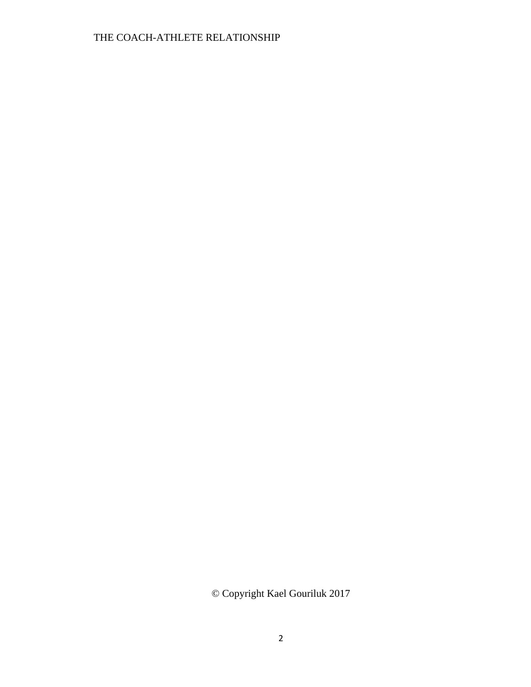© Copyright Kael Gouriluk 2017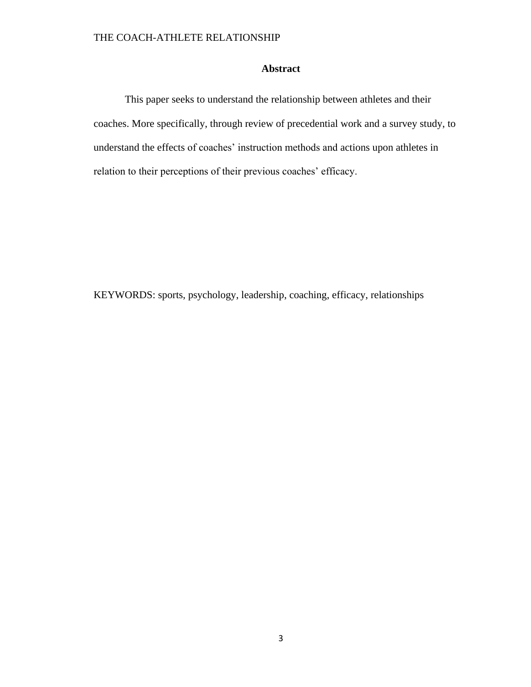### **Abstract**

This paper seeks to understand the relationship between athletes and their coaches. More specifically, through review of precedential work and a survey study, to understand the effects of coaches' instruction methods and actions upon athletes in relation to their perceptions of their previous coaches' efficacy.

KEYWORDS: sports, psychology, leadership, coaching, efficacy, relationships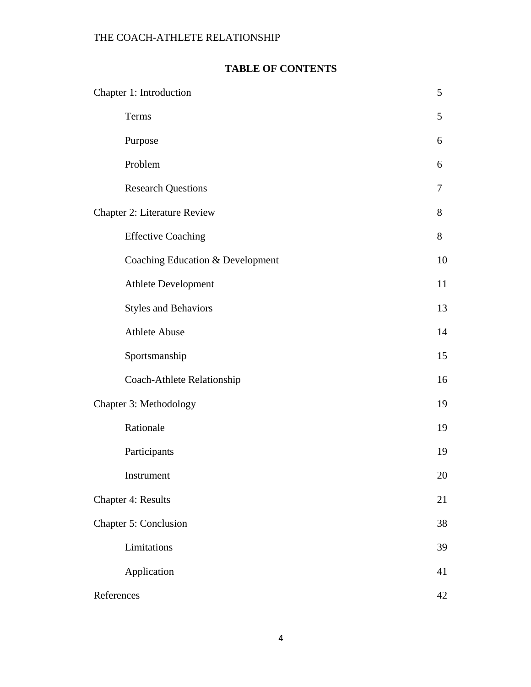## **TABLE OF CONTENTS**

| Chapter 1: Introduction             | 5              |
|-------------------------------------|----------------|
| Terms                               | 5              |
| Purpose                             | 6              |
| Problem                             | 6              |
| <b>Research Questions</b>           | $\overline{7}$ |
| <b>Chapter 2: Literature Review</b> | 8              |
| <b>Effective Coaching</b>           | 8              |
| Coaching Education & Development    | 10             |
| <b>Athlete Development</b>          | 11             |
| <b>Styles and Behaviors</b>         | 13             |
| <b>Athlete Abuse</b>                | 14             |
| Sportsmanship                       | 15             |
| Coach-Athlete Relationship          | 16             |
| Chapter 3: Methodology              | 19             |
| Rationale                           | 19             |
| Participants                        | 19             |
| Instrument                          | 20             |
| <b>Chapter 4: Results</b>           | 21             |
| Chapter 5: Conclusion               | 38             |
| Limitations                         | 39             |
| Application                         | 41             |
| References                          | 42             |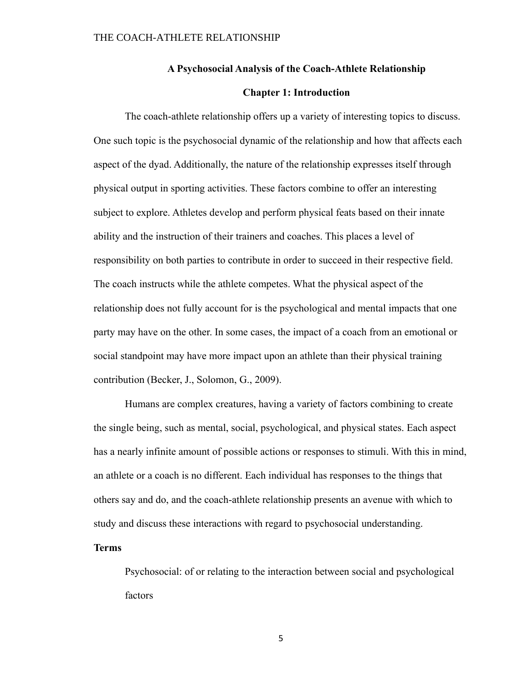### **A Psychosocial Analysis of the Coach-Athlete Relationship**

### **Chapter 1: Introduction**

The coach-athlete relationship offers up a variety of interesting topics to discuss. One such topic is the psychosocial dynamic of the relationship and how that affects each aspect of the dyad. Additionally, the nature of the relationship expresses itself through physical output in sporting activities. These factors combine to offer an interesting subject to explore. Athletes develop and perform physical feats based on their innate ability and the instruction of their trainers and coaches. This places a level of responsibility on both parties to contribute in order to succeed in their respective field. The coach instructs while the athlete competes. What the physical aspect of the relationship does not fully account for is the psychological and mental impacts that one party may have on the other. In some cases, the impact of a coach from an emotional or social standpoint may have more impact upon an athlete than their physical training contribution (Becker, J., Solomon, G., 2009).

Humans are complex creatures, having a variety of factors combining to create the single being, such as mental, social, psychological, and physical states. Each aspect has a nearly infinite amount of possible actions or responses to stimuli. With this in mind, an athlete or a coach is no different. Each individual has responses to the things that others say and do, and the coach-athlete relationship presents an avenue with which to study and discuss these interactions with regard to psychosocial understanding.

### **Terms**

Psychosocial: of or relating to the interaction between social and psychological factors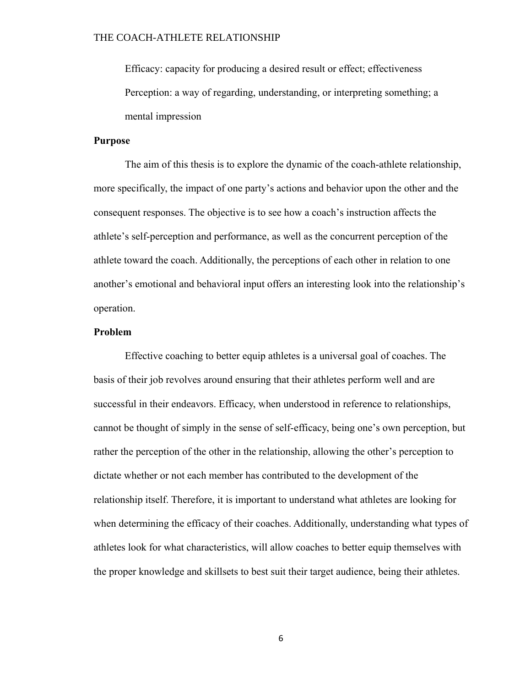Efficacy: capacity for producing a desired result or effect; effectiveness Perception: a way of regarding, understanding, or interpreting something; a mental impression

### **Purpose**

The aim of this thesis is to explore the dynamic of the coach-athlete relationship, more specifically, the impact of one party's actions and behavior upon the other and the consequent responses. The objective is to see how a coach's instruction affects the athlete's self-perception and performance, as well as the concurrent perception of the athlete toward the coach. Additionally, the perceptions of each other in relation to one another's emotional and behavioral input offers an interesting look into the relationship's operation.

### **Problem**

Effective coaching to better equip athletes is a universal goal of coaches. The basis of their job revolves around ensuring that their athletes perform well and are successful in their endeavors. Efficacy, when understood in reference to relationships, cannot be thought of simply in the sense of self-efficacy, being one's own perception, but rather the perception of the other in the relationship, allowing the other's perception to dictate whether or not each member has contributed to the development of the relationship itself. Therefore, it is important to understand what athletes are looking for when determining the efficacy of their coaches. Additionally, understanding what types of athletes look for what characteristics, will allow coaches to better equip themselves with the proper knowledge and skillsets to best suit their target audience, being their athletes.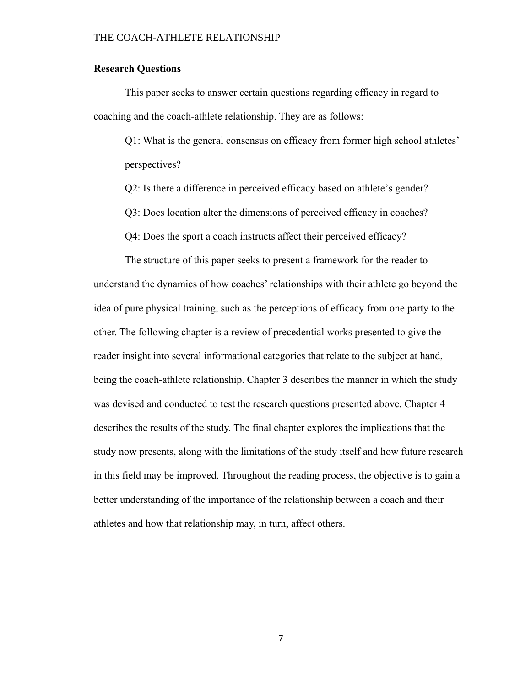### **Research Questions**

This paper seeks to answer certain questions regarding efficacy in regard to coaching and the coach-athlete relationship. They are as follows:

Q1: What is the general consensus on efficacy from former high school athletes' perspectives?

Q2: Is there a difference in perceived efficacy based on athlete's gender?

Q3: Does location alter the dimensions of perceived efficacy in coaches?

Q4: Does the sport a coach instructs affect their perceived efficacy?

The structure of this paper seeks to present a framework for the reader to understand the dynamics of how coaches' relationships with their athlete go beyond the idea of pure physical training, such as the perceptions of efficacy from one party to the other. The following chapter is a review of precedential works presented to give the reader insight into several informational categories that relate to the subject at hand, being the coach-athlete relationship. Chapter 3 describes the manner in which the study was devised and conducted to test the research questions presented above. Chapter 4 describes the results of the study. The final chapter explores the implications that the study now presents, along with the limitations of the study itself and how future research in this field may be improved. Throughout the reading process, the objective is to gain a better understanding of the importance of the relationship between a coach and their athletes and how that relationship may, in turn, affect others.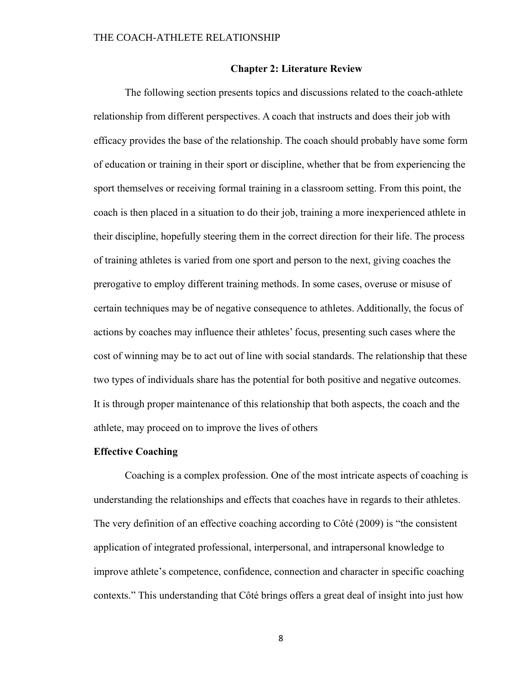### **Chapter 2: Literature Review**

The following section presents topics and discussions related to the coach-athlete relationship from different perspectives. A coach that instructs and does their job with efficacy provides the base of the relationship. The coach should probably have some form of education or training in their sport or discipline, whether that be from experiencing the sport themselves or receiving formal training in a classroom setting. From this point, the coach is then placed in a situation to do their job, training a more inexperienced athlete in their discipline, hopefully steering them in the correct direction for their life. The process of training athletes is varied from one sport and person to the next, giving coaches the prerogative to employ different training methods. In some cases, overuse or misuse of certain techniques may be of negative consequence to athletes. Additionally, the focus of actions by coaches may influence their athletes' focus, presenting such cases where the cost of winning may be to act out of line with social standards. The relationship that these two types of individuals share has the potential for both positive and negative outcomes. It is through proper maintenance of this relationship that both aspects, the coach and the athlete, may proceed on to improve the lives of others

### **Effective Coaching**

Coaching is a complex profession. One of the most intricate aspects of coaching is understanding the relationships and effects that coaches have in regards to their athletes. The very definition of an effective coaching according to Côté (2009) is "the consistent application of integrated professional, interpersonal, and intrapersonal knowledge to improve athlete's competence, confidence, connection and character in specific coaching contexts." This understanding that Côté brings offers a great deal of insight into just how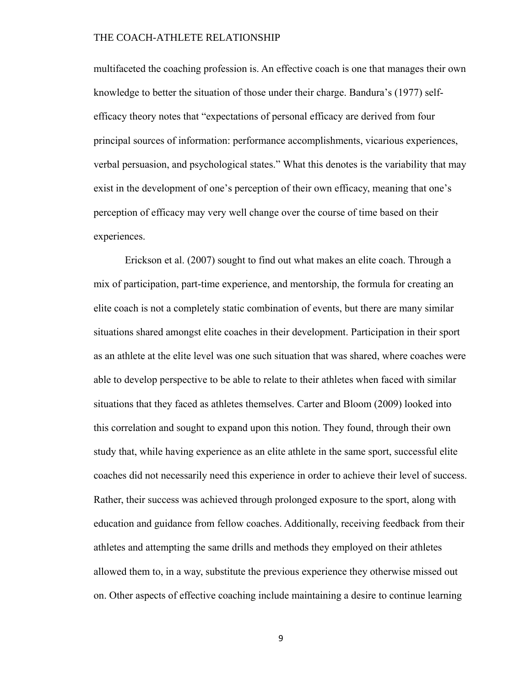multifaceted the coaching profession is. An effective coach is one that manages their own knowledge to better the situation of those under their charge. Bandura's (1977) selfefficacy theory notes that "expectations of personal efficacy are derived from four principal sources of information: performance accomplishments, vicarious experiences, verbal persuasion, and psychological states." What this denotes is the variability that may exist in the development of one's perception of their own efficacy, meaning that one's perception of efficacy may very well change over the course of time based on their experiences.

Erickson et al. (2007) sought to find out what makes an elite coach. Through a mix of participation, part-time experience, and mentorship, the formula for creating an elite coach is not a completely static combination of events, but there are many similar situations shared amongst elite coaches in their development. Participation in their sport as an athlete at the elite level was one such situation that was shared, where coaches were able to develop perspective to be able to relate to their athletes when faced with similar situations that they faced as athletes themselves. Carter and Bloom (2009) looked into this correlation and sought to expand upon this notion. They found, through their own study that, while having experience as an elite athlete in the same sport, successful elite coaches did not necessarily need this experience in order to achieve their level of success. Rather, their success was achieved through prolonged exposure to the sport, along with education and guidance from fellow coaches. Additionally, receiving feedback from their athletes and attempting the same drills and methods they employed on their athletes allowed them to, in a way, substitute the previous experience they otherwise missed out on. Other aspects of effective coaching include maintaining a desire to continue learning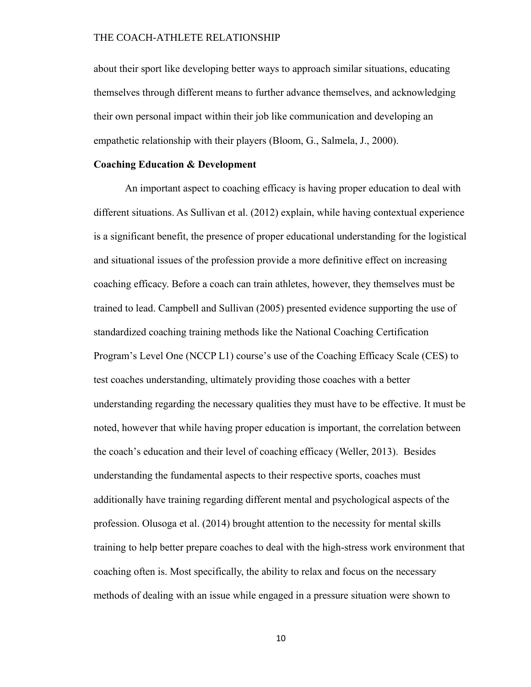about their sport like developing better ways to approach similar situations, educating themselves through different means to further advance themselves, and acknowledging their own personal impact within their job like communication and developing an empathetic relationship with their players (Bloom, G., Salmela, J., 2000).

### **Coaching Education & Development**

An important aspect to coaching efficacy is having proper education to deal with different situations. As Sullivan et al. (2012) explain, while having contextual experience is a significant benefit, the presence of proper educational understanding for the logistical and situational issues of the profession provide a more definitive effect on increasing coaching efficacy. Before a coach can train athletes, however, they themselves must be trained to lead. Campbell and Sullivan (2005) presented evidence supporting the use of standardized coaching training methods like the National Coaching Certification Program's Level One (NCCP L1) course's use of the Coaching Efficacy Scale (CES) to test coaches understanding, ultimately providing those coaches with a better understanding regarding the necessary qualities they must have to be effective. It must be noted, however that while having proper education is important, the correlation between the coach's education and their level of coaching efficacy (Weller, 2013). Besides understanding the fundamental aspects to their respective sports, coaches must additionally have training regarding different mental and psychological aspects of the profession. Olusoga et al. (2014) brought attention to the necessity for mental skills training to help better prepare coaches to deal with the high-stress work environment that coaching often is. Most specifically, the ability to relax and focus on the necessary methods of dealing with an issue while engaged in a pressure situation were shown to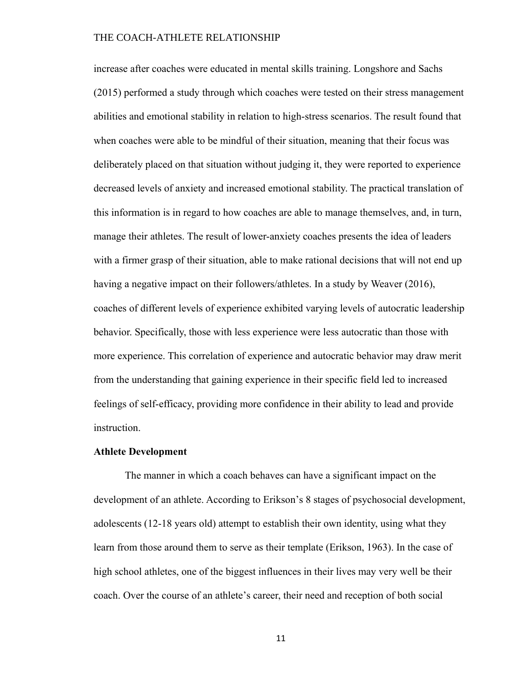increase after coaches were educated in mental skills training. Longshore and Sachs (2015) performed a study through which coaches were tested on their stress management abilities and emotional stability in relation to high-stress scenarios. The result found that when coaches were able to be mindful of their situation, meaning that their focus was deliberately placed on that situation without judging it, they were reported to experience decreased levels of anxiety and increased emotional stability. The practical translation of this information is in regard to how coaches are able to manage themselves, and, in turn, manage their athletes. The result of lower-anxiety coaches presents the idea of leaders with a firmer grasp of their situation, able to make rational decisions that will not end up having a negative impact on their followers/athletes. In a study by Weaver (2016), coaches of different levels of experience exhibited varying levels of autocratic leadership behavior. Specifically, those with less experience were less autocratic than those with more experience. This correlation of experience and autocratic behavior may draw merit from the understanding that gaining experience in their specific field led to increased feelings of self-efficacy, providing more confidence in their ability to lead and provide instruction.

### **Athlete Development**

The manner in which a coach behaves can have a significant impact on the development of an athlete. According to Erikson's 8 stages of psychosocial development, adolescents (12-18 years old) attempt to establish their own identity, using what they learn from those around them to serve as their template (Erikson, 1963). In the case of high school athletes, one of the biggest influences in their lives may very well be their coach. Over the course of an athlete's career, their need and reception of both social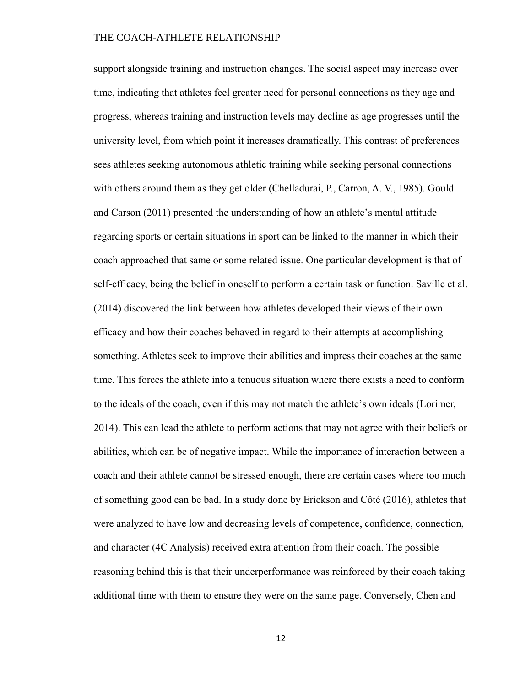support alongside training and instruction changes. The social aspect may increase over time, indicating that athletes feel greater need for personal connections as they age and progress, whereas training and instruction levels may decline as age progresses until the university level, from which point it increases dramatically. This contrast of preferences sees athletes seeking autonomous athletic training while seeking personal connections with others around them as they get older (Chelladurai, P., Carron, A. V., 1985). Gould and Carson (2011) presented the understanding of how an athlete's mental attitude regarding sports or certain situations in sport can be linked to the manner in which their coach approached that same or some related issue. One particular development is that of self-efficacy, being the belief in oneself to perform a certain task or function. Saville et al. (2014) discovered the link between how athletes developed their views of their own efficacy and how their coaches behaved in regard to their attempts at accomplishing something. Athletes seek to improve their abilities and impress their coaches at the same time. This forces the athlete into a tenuous situation where there exists a need to conform to the ideals of the coach, even if this may not match the athlete's own ideals (Lorimer, 2014). This can lead the athlete to perform actions that may not agree with their beliefs or abilities, which can be of negative impact. While the importance of interaction between a coach and their athlete cannot be stressed enough, there are certain cases where too much of something good can be bad. In a study done by Erickson and Côté (2016), athletes that were analyzed to have low and decreasing levels of competence, confidence, connection, and character (4C Analysis) received extra attention from their coach. The possible reasoning behind this is that their underperformance was reinforced by their coach taking additional time with them to ensure they were on the same page. Conversely, Chen and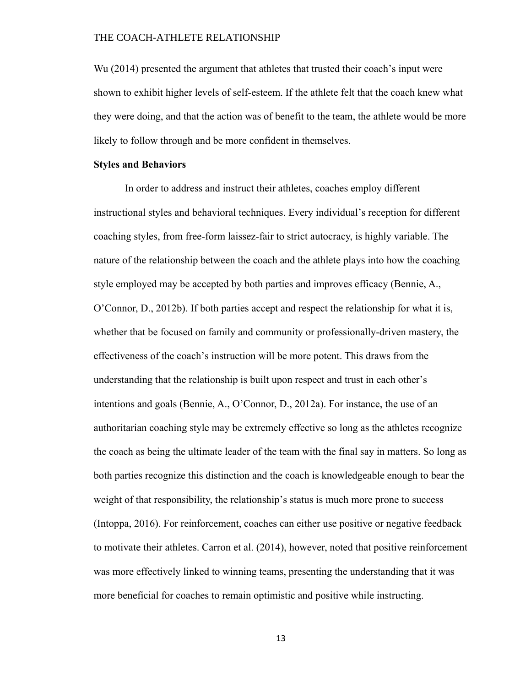Wu (2014) presented the argument that athletes that trusted their coach's input were shown to exhibit higher levels of self-esteem. If the athlete felt that the coach knew what they were doing, and that the action was of benefit to the team, the athlete would be more likely to follow through and be more confident in themselves.

### **Styles and Behaviors**

In order to address and instruct their athletes, coaches employ different instructional styles and behavioral techniques. Every individual's reception for different coaching styles, from free-form laissez-fair to strict autocracy, is highly variable. The nature of the relationship between the coach and the athlete plays into how the coaching style employed may be accepted by both parties and improves efficacy (Bennie, A., O'Connor, D., 2012b). If both parties accept and respect the relationship for what it is, whether that be focused on family and community or professionally-driven mastery, the effectiveness of the coach's instruction will be more potent. This draws from the understanding that the relationship is built upon respect and trust in each other's intentions and goals (Bennie, A., O'Connor, D., 2012a). For instance, the use of an authoritarian coaching style may be extremely effective so long as the athletes recognize the coach as being the ultimate leader of the team with the final say in matters. So long as both parties recognize this distinction and the coach is knowledgeable enough to bear the weight of that responsibility, the relationship's status is much more prone to success (Intoppa, 2016). For reinforcement, coaches can either use positive or negative feedback to motivate their athletes. Carron et al. (2014), however, noted that positive reinforcement was more effectively linked to winning teams, presenting the understanding that it was more beneficial for coaches to remain optimistic and positive while instructing.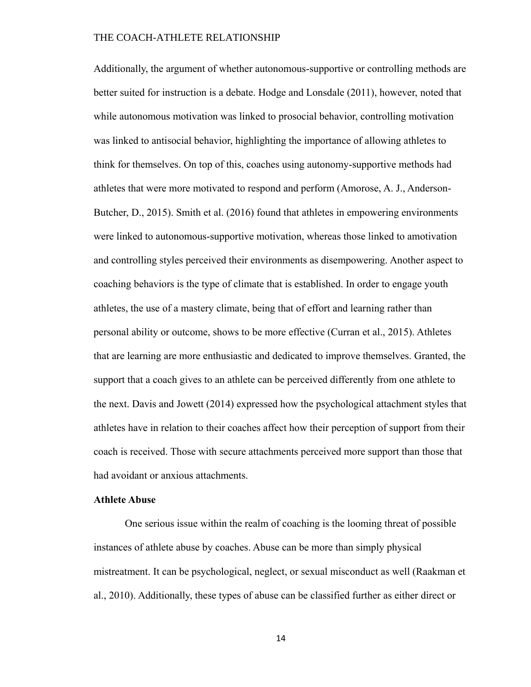Additionally, the argument of whether autonomous-supportive or controlling methods are better suited for instruction is a debate. Hodge and Lonsdale (2011), however, noted that while autonomous motivation was linked to prosocial behavior, controlling motivation was linked to antisocial behavior, highlighting the importance of allowing athletes to think for themselves. On top of this, coaches using autonomy-supportive methods had athletes that were more motivated to respond and perform (Amorose, A. J., Anderson-Butcher, D., 2015). Smith et al. (2016) found that athletes in empowering environments were linked to autonomous-supportive motivation, whereas those linked to amotivation and controlling styles perceived their environments as disempowering. Another aspect to coaching behaviors is the type of climate that is established. In order to engage youth athletes, the use of a mastery climate, being that of effort and learning rather than personal ability or outcome, shows to be more effective (Curran et al., 2015). Athletes that are learning are more enthusiastic and dedicated to improve themselves. Granted, the support that a coach gives to an athlete can be perceived differently from one athlete to the next. Davis and Jowett (2014) expressed how the psychological attachment styles that athletes have in relation to their coaches affect how their perception of support from their coach is received. Those with secure attachments perceived more support than those that had avoidant or anxious attachments.

### **Athlete Abuse**

One serious issue within the realm of coaching is the looming threat of possible instances of athlete abuse by coaches. Abuse can be more than simply physical mistreatment. It can be psychological, neglect, or sexual misconduct as well (Raakman et al., 2010). Additionally, these types of abuse can be classified further as either direct or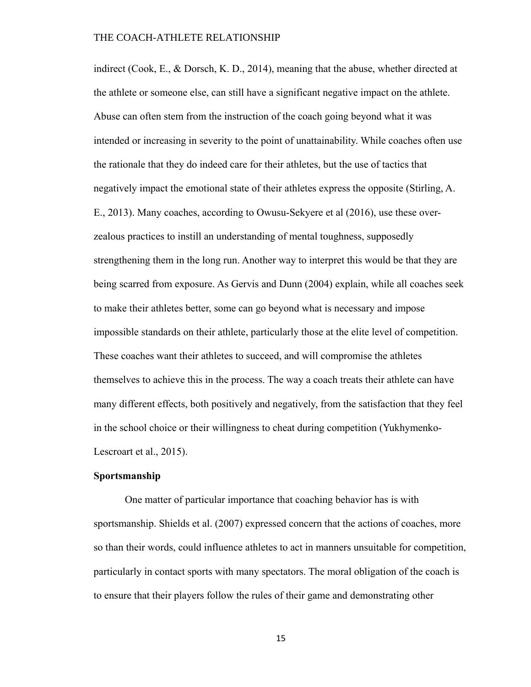indirect (Cook, E., & Dorsch, K. D., 2014), meaning that the abuse, whether directed at the athlete or someone else, can still have a significant negative impact on the athlete. Abuse can often stem from the instruction of the coach going beyond what it was intended or increasing in severity to the point of unattainability. While coaches often use the rationale that they do indeed care for their athletes, but the use of tactics that negatively impact the emotional state of their athletes express the opposite (Stirling, A. E., 2013). Many coaches, according to Owusu-Sekyere et al (2016), use these overzealous practices to instill an understanding of mental toughness, supposedly strengthening them in the long run. Another way to interpret this would be that they are being scarred from exposure. As Gervis and Dunn (2004) explain, while all coaches seek to make their athletes better, some can go beyond what is necessary and impose impossible standards on their athlete, particularly those at the elite level of competition. These coaches want their athletes to succeed, and will compromise the athletes themselves to achieve this in the process. The way a coach treats their athlete can have many different effects, both positively and negatively, from the satisfaction that they feel in the school choice or their willingness to cheat during competition (Yukhymenko-Lescroart et al., 2015).

### **Sportsmanship**

One matter of particular importance that coaching behavior has is with sportsmanship. Shields et al. (2007) expressed concern that the actions of coaches, more so than their words, could influence athletes to act in manners unsuitable for competition, particularly in contact sports with many spectators. The moral obligation of the coach is to ensure that their players follow the rules of their game and demonstrating other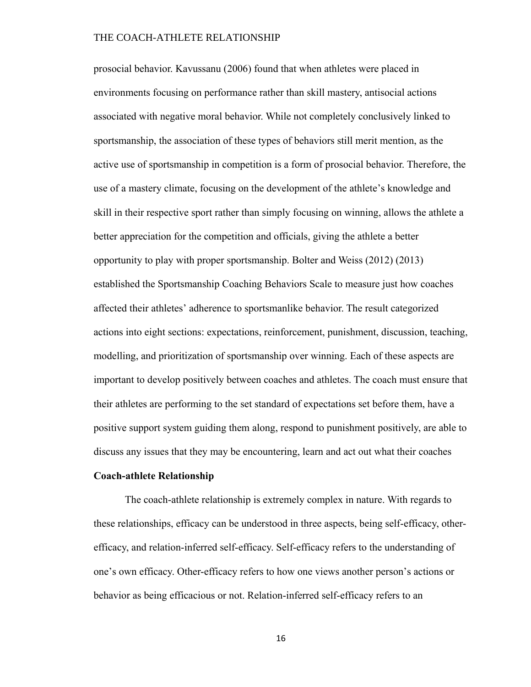prosocial behavior. Kavussanu (2006) found that when athletes were placed in environments focusing on performance rather than skill mastery, antisocial actions associated with negative moral behavior. While not completely conclusively linked to sportsmanship, the association of these types of behaviors still merit mention, as the active use of sportsmanship in competition is a form of prosocial behavior. Therefore, the use of a mastery climate, focusing on the development of the athlete's knowledge and skill in their respective sport rather than simply focusing on winning, allows the athlete a better appreciation for the competition and officials, giving the athlete a better opportunity to play with proper sportsmanship. Bolter and Weiss (2012) (2013) established the Sportsmanship Coaching Behaviors Scale to measure just how coaches affected their athletes' adherence to sportsmanlike behavior. The result categorized actions into eight sections: expectations, reinforcement, punishment, discussion, teaching, modelling, and prioritization of sportsmanship over winning. Each of these aspects are important to develop positively between coaches and athletes. The coach must ensure that their athletes are performing to the set standard of expectations set before them, have a positive support system guiding them along, respond to punishment positively, are able to discuss any issues that they may be encountering, learn and act out what their coaches

### **Coach-athlete Relationship**

The coach-athlete relationship is extremely complex in nature. With regards to these relationships, efficacy can be understood in three aspects, being self-efficacy, otherefficacy, and relation-inferred self-efficacy. Self-efficacy refers to the understanding of one's own efficacy. Other-efficacy refers to how one views another person's actions or behavior as being efficacious or not. Relation-inferred self-efficacy refers to an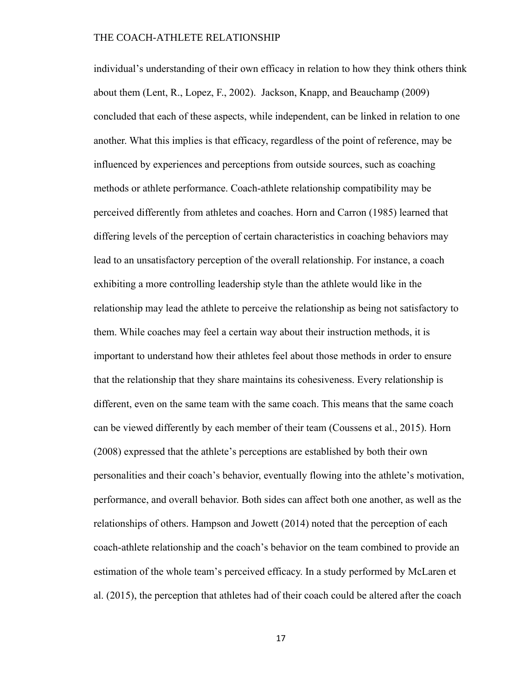individual's understanding of their own efficacy in relation to how they think others think about them (Lent, R., Lopez, F., 2002). Jackson, Knapp, and Beauchamp (2009) concluded that each of these aspects, while independent, can be linked in relation to one another. What this implies is that efficacy, regardless of the point of reference, may be influenced by experiences and perceptions from outside sources, such as coaching methods or athlete performance. Coach-athlete relationship compatibility may be perceived differently from athletes and coaches. Horn and Carron (1985) learned that differing levels of the perception of certain characteristics in coaching behaviors may lead to an unsatisfactory perception of the overall relationship. For instance, a coach exhibiting a more controlling leadership style than the athlete would like in the relationship may lead the athlete to perceive the relationship as being not satisfactory to them. While coaches may feel a certain way about their instruction methods, it is important to understand how their athletes feel about those methods in order to ensure that the relationship that they share maintains its cohesiveness. Every relationship is different, even on the same team with the same coach. This means that the same coach can be viewed differently by each member of their team (Coussens et al., 2015). Horn (2008) expressed that the athlete's perceptions are established by both their own personalities and their coach's behavior, eventually flowing into the athlete's motivation, performance, and overall behavior. Both sides can affect both one another, as well as the relationships of others. Hampson and Jowett (2014) noted that the perception of each coach-athlete relationship and the coach's behavior on the team combined to provide an estimation of the whole team's perceived efficacy. In a study performed by McLaren et al. (2015), the perception that athletes had of their coach could be altered after the coach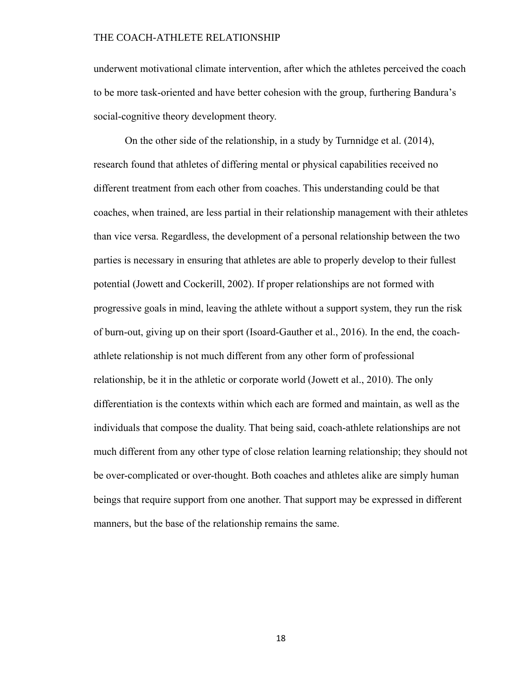underwent motivational climate intervention, after which the athletes perceived the coach to be more task-oriented and have better cohesion with the group, furthering Bandura's social-cognitive theory development theory.

On the other side of the relationship, in a study by Turnnidge et al. (2014), research found that athletes of differing mental or physical capabilities received no different treatment from each other from coaches. This understanding could be that coaches, when trained, are less partial in their relationship management with their athletes than vice versa. Regardless, the development of a personal relationship between the two parties is necessary in ensuring that athletes are able to properly develop to their fullest potential (Jowett and Cockerill, 2002). If proper relationships are not formed with progressive goals in mind, leaving the athlete without a support system, they run the risk of burn-out, giving up on their sport (Isoard-Gauther et al., 2016). In the end, the coachathlete relationship is not much different from any other form of professional relationship, be it in the athletic or corporate world (Jowett et al., 2010). The only differentiation is the contexts within which each are formed and maintain, as well as the individuals that compose the duality. That being said, coach-athlete relationships are not much different from any other type of close relation learning relationship; they should not be over-complicated or over-thought. Both coaches and athletes alike are simply human beings that require support from one another. That support may be expressed in different manners, but the base of the relationship remains the same.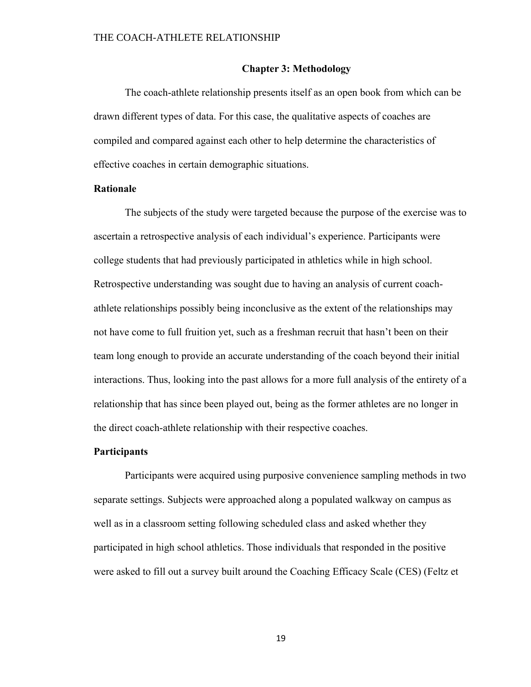### **Chapter 3: Methodology**

The coach-athlete relationship presents itself as an open book from which can be drawn different types of data. For this case, the qualitative aspects of coaches are compiled and compared against each other to help determine the characteristics of effective coaches in certain demographic situations.

### **Rationale**

The subjects of the study were targeted because the purpose of the exercise was to ascertain a retrospective analysis of each individual's experience. Participants were college students that had previously participated in athletics while in high school. Retrospective understanding was sought due to having an analysis of current coachathlete relationships possibly being inconclusive as the extent of the relationships may not have come to full fruition yet, such as a freshman recruit that hasn't been on their team long enough to provide an accurate understanding of the coach beyond their initial interactions. Thus, looking into the past allows for a more full analysis of the entirety of a relationship that has since been played out, being as the former athletes are no longer in the direct coach-athlete relationship with their respective coaches.

### **Participants**

Participants were acquired using purposive convenience sampling methods in two separate settings. Subjects were approached along a populated walkway on campus as well as in a classroom setting following scheduled class and asked whether they participated in high school athletics. Those individuals that responded in the positive were asked to fill out a survey built around the Coaching Efficacy Scale (CES) (Feltz et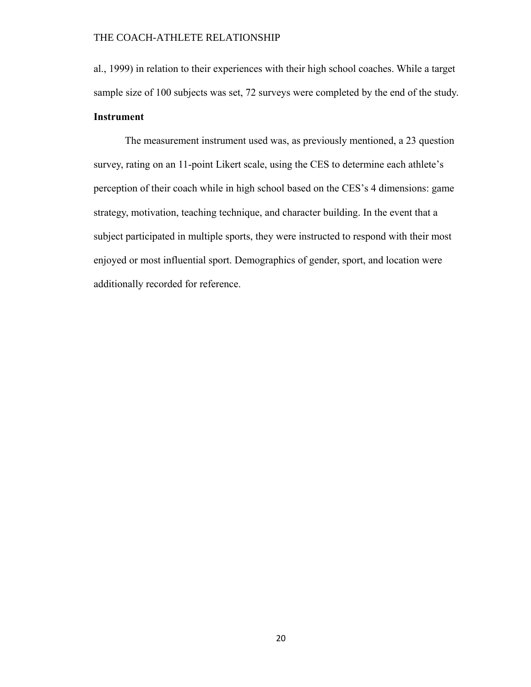al., 1999) in relation to their experiences with their high school coaches. While a target sample size of 100 subjects was set, 72 surveys were completed by the end of the study. **Instrument**

The measurement instrument used was, as previously mentioned, a 23 question survey, rating on an 11-point Likert scale, using the CES to determine each athlete's perception of their coach while in high school based on the CES's 4 dimensions: game strategy, motivation, teaching technique, and character building. In the event that a subject participated in multiple sports, they were instructed to respond with their most enjoyed or most influential sport. Demographics of gender, sport, and location were additionally recorded for reference.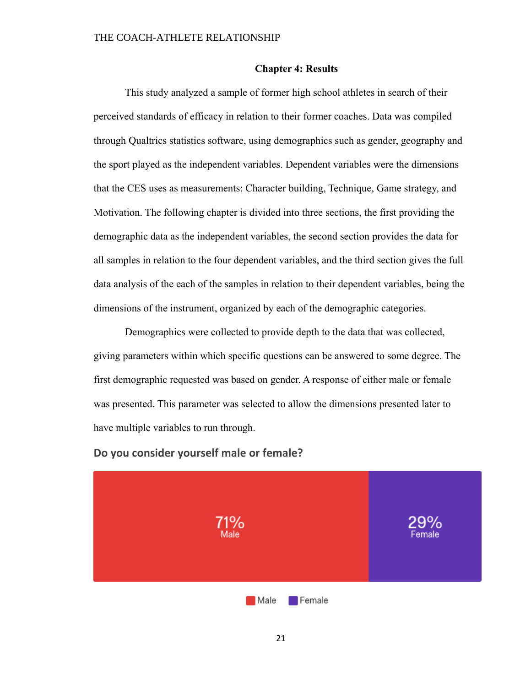#### **Chapter 4: Results**

This study analyzed a sample of former high school athletes in search of their perceived standards of efficacy in relation to their former coaches. Data was compiled through Qualtrics statistics software, using demographics such as gender, geography and the sport played as the independent variables. Dependent variables were the dimensions that the CES uses as measurements: Character building, Technique, Game strategy, and Motivation. The following chapter is divided into three sections, the first providing the demographic data as the independent variables, the second section provides the data for all samples in relation to the four dependent variables, and the third section gives the full data analysis of the each of the samples in relation to their dependent variables, being the dimensions of the instrument, organized by each of the demographic categories.

Demographics were collected to provide depth to the data that was collected, giving parameters within which specific questions can be answered to some degree. The first demographic requested was based on gender. A response of either male or female was presented. This parameter was selected to allow the dimensions presented later to have multiple variables to run through.



### **Do you consider yourself male or female?**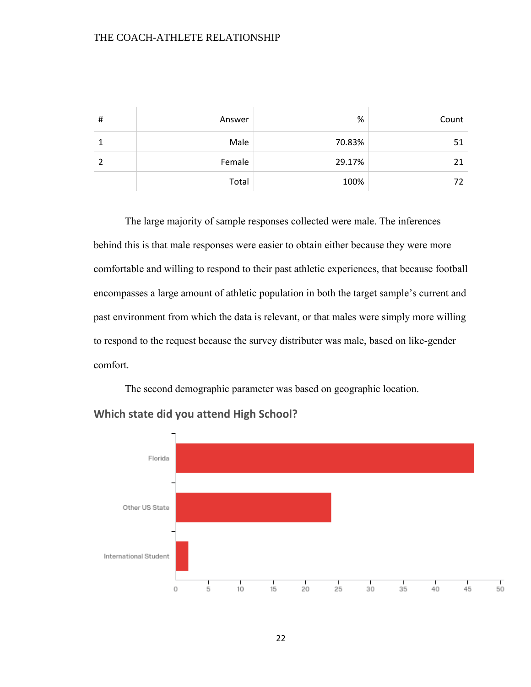| # | Answer | %      | Count |
|---|--------|--------|-------|
|   | Male   | 70.83% | 51    |
|   | Female | 29.17% | 21    |
|   | Total  | 100%   | 72    |

The large majority of sample responses collected were male. The inferences behind this is that male responses were easier to obtain either because they were more comfortable and willing to respond to their past athletic experiences, that because football encompasses a large amount of athletic population in both the target sample's current and past environment from which the data is relevant, or that males were simply more willing to respond to the request because the survey distributer was male, based on like-gender comfort.

The second demographic parameter was based on geographic location.



## **Which state did you attend High School?**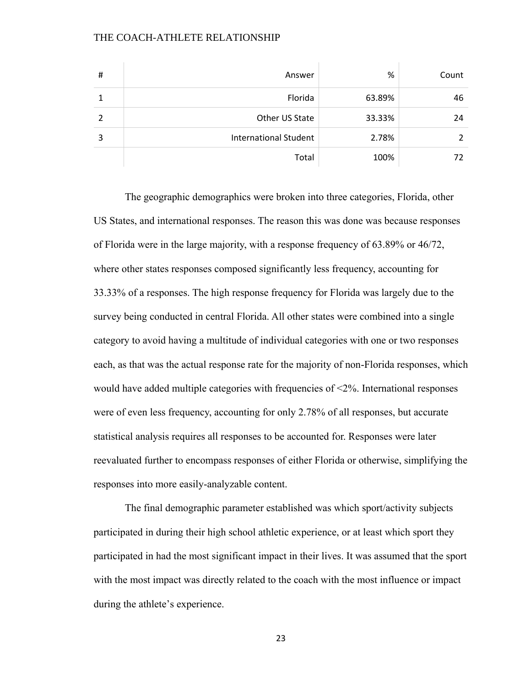| # | Answer                       | %      | Count |
|---|------------------------------|--------|-------|
|   | Florida                      | 63.89% | 46    |
| 2 | Other US State               | 33.33% | 24    |
| 3 | <b>International Student</b> | 2.78%  |       |
|   | Total                        | 100%   |       |

The geographic demographics were broken into three categories, Florida, other US States, and international responses. The reason this was done was because responses of Florida were in the large majority, with a response frequency of 63.89% or 46/72, where other states responses composed significantly less frequency, accounting for 33.33% of a responses. The high response frequency for Florida was largely due to the survey being conducted in central Florida. All other states were combined into a single category to avoid having a multitude of individual categories with one or two responses each, as that was the actual response rate for the majority of non-Florida responses, which would have added multiple categories with frequencies of <2%. International responses were of even less frequency, accounting for only 2.78% of all responses, but accurate statistical analysis requires all responses to be accounted for. Responses were later reevaluated further to encompass responses of either Florida or otherwise, simplifying the responses into more easily-analyzable content.

The final demographic parameter established was which sport/activity subjects participated in during their high school athletic experience, or at least which sport they participated in had the most significant impact in their lives. It was assumed that the sport with the most impact was directly related to the coach with the most influence or impact during the athlete's experience.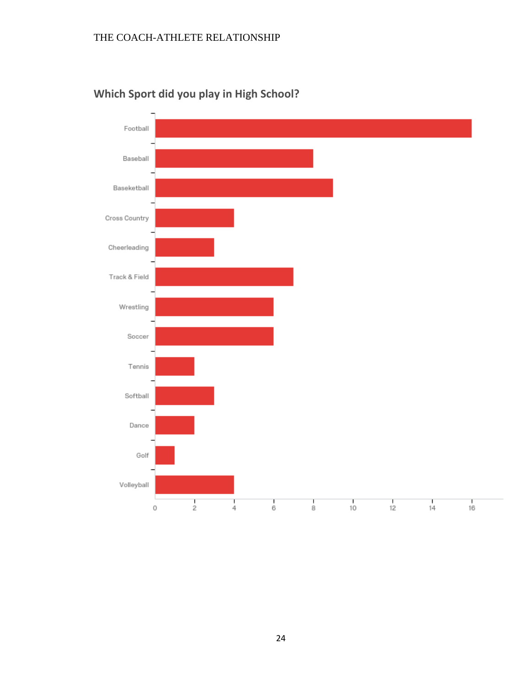

## **Which Sport did you play in High School?**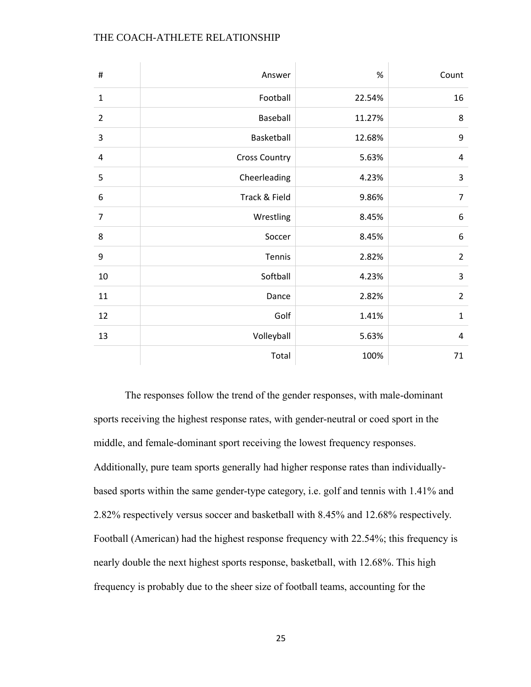| $\#$           | Answer               | $\%$   | Count          |
|----------------|----------------------|--------|----------------|
| $\mathbf{1}$   | Football             | 22.54% | 16             |
| $\overline{2}$ | Baseball             | 11.27% | 8              |
| 3              | Basketball           | 12.68% | 9              |
| 4              | <b>Cross Country</b> | 5.63%  | 4              |
| 5              | Cheerleading         | 4.23%  | 3              |
| 6              | Track & Field        | 9.86%  | $\overline{7}$ |
| $\overline{7}$ | Wrestling            | 8.45%  | 6              |
| 8              | Soccer               | 8.45%  | 6              |
| 9              | Tennis               | 2.82%  | $\overline{2}$ |
| 10             | Softball             | 4.23%  | 3              |
| 11             | Dance                | 2.82%  | $\overline{2}$ |
| 12             | Golf                 | 1.41%  | $\mathbf{1}$   |
| 13             | Volleyball           | 5.63%  | 4              |
|                | Total                | 100%   | 71             |

The responses follow the trend of the gender responses, with male-dominant sports receiving the highest response rates, with gender-neutral or coed sport in the middle, and female-dominant sport receiving the lowest frequency responses. Additionally, pure team sports generally had higher response rates than individuallybased sports within the same gender-type category, i.e. golf and tennis with 1.41% and 2.82% respectively versus soccer and basketball with 8.45% and 12.68% respectively. Football (American) had the highest response frequency with 22.54%; this frequency is nearly double the next highest sports response, basketball, with 12.68%. This high frequency is probably due to the sheer size of football teams, accounting for the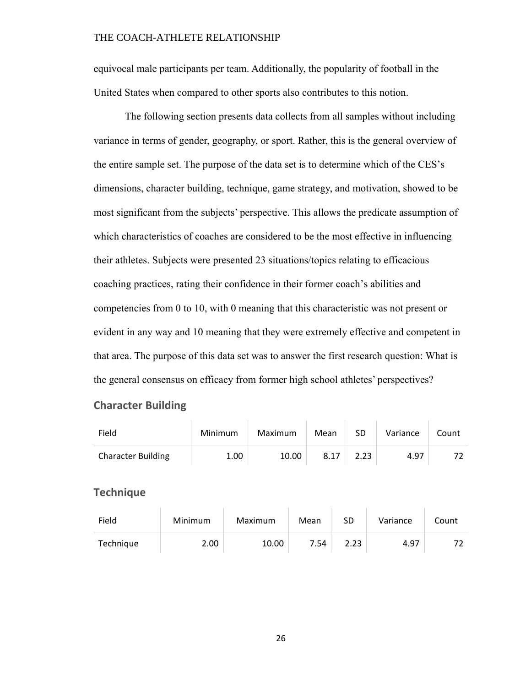equivocal male participants per team. Additionally, the popularity of football in the United States when compared to other sports also contributes to this notion.

The following section presents data collects from all samples without including variance in terms of gender, geography, or sport. Rather, this is the general overview of the entire sample set. The purpose of the data set is to determine which of the CES's dimensions, character building, technique, game strategy, and motivation, showed to be most significant from the subjects' perspective. This allows the predicate assumption of which characteristics of coaches are considered to be the most effective in influencing their athletes. Subjects were presented 23 situations/topics relating to efficacious coaching practices, rating their confidence in their former coach's abilities and competencies from 0 to 10, with 0 meaning that this characteristic was not present or evident in any way and 10 meaning that they were extremely effective and competent in that area. The purpose of this data set was to answer the first research question: What is the general consensus on efficacy from former high school athletes' perspectives?

### **Character Building**

| Field                     | Minimum | Maximum | Mean | SD   | Variance | Count |
|---------------------------|---------|---------|------|------|----------|-------|
| <b>Character Building</b> | 1.00    | 10.00   | 8.17 | 2.23 | 4.97     |       |

### **Technique**

| Field     | Minimum | Maximum | Mean | SD   | Variance | Count |
|-----------|---------|---------|------|------|----------|-------|
| Technique | 2.00    | 10.00   | 7.54 | 2.23 | 4.97     |       |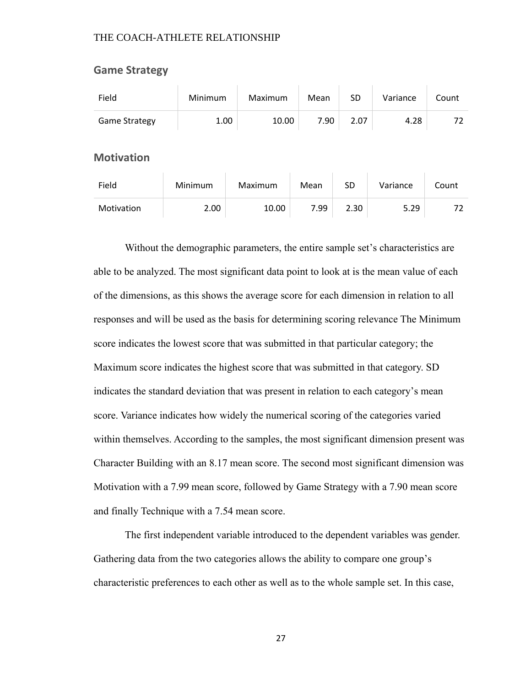| Field                | Minimum | <b>Maximum</b> | Mean | <b>SD</b> | Variance | Count |  |  |
|----------------------|---------|----------------|------|-----------|----------|-------|--|--|
| <b>Game Strategy</b> | 1.00    | 10.00          | 7.90 | 2.07      | 4.28     | 72    |  |  |
| <b>Motivation</b>    |         |                |      |           |          |       |  |  |
| Field                | Minimum | Maximum        | Mean | <b>SD</b> | Variance | Count |  |  |
| Motivation           | 2.00    | 10.00          | 7.99 | 2.30      | 5.29     | 72    |  |  |

 $\mathbf{1}$  and  $\mathbf{1}$  and  $\mathbf{1}$  and  $\mathbf{1}$  and  $\mathbf{1}$  and  $\mathbf{1}$  and  $\mathbf{1}$  and  $\mathbf{1}$ 

### **Game Strategy**

Without the demographic parameters, the entire sample set's characteristics are able to be analyzed. The most significant data point to look at is the mean value of each of the dimensions, as this shows the average score for each dimension in relation to all responses and will be used as the basis for determining scoring relevance The Minimum score indicates the lowest score that was submitted in that particular category; the Maximum score indicates the highest score that was submitted in that category. SD indicates the standard deviation that was present in relation to each category's mean score. Variance indicates how widely the numerical scoring of the categories varied within themselves. According to the samples, the most significant dimension present was Character Building with an 8.17 mean score. The second most significant dimension was Motivation with a 7.99 mean score, followed by Game Strategy with a 7.90 mean score and finally Technique with a 7.54 mean score.

The first independent variable introduced to the dependent variables was gender. Gathering data from the two categories allows the ability to compare one group's characteristic preferences to each other as well as to the whole sample set. In this case,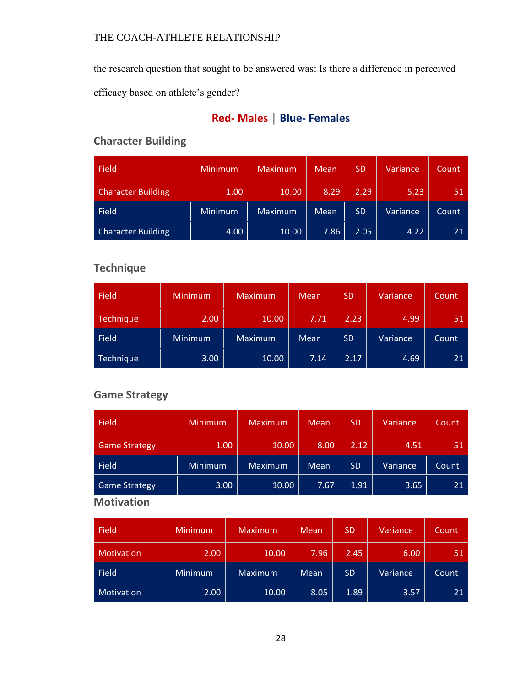the research question that sought to be answered was: Is there a difference in perceived

efficacy based on athlete's gender?

## **Red- Males │ Blue- Females**

## **Character Building**

| <b>Field</b>              | <b>Minimum</b> | <b>Maximum</b> | Mean | <b>SD</b> | Variance | Count |
|---------------------------|----------------|----------------|------|-----------|----------|-------|
| <b>Character Building</b> | 1.00           | 10.00          | 8.29 | 2.29      | 5.23     | 51    |
| Field                     | <b>Minimum</b> | Maximum        | Mean | <b>SD</b> | Variance | Count |
| <b>Character Building</b> | 4.00           | 10.00          | 7.86 | 2.05      | 4.22     | 21    |

## **Technique**

| Field     | Minimum        | <b>Maximum</b> | <b>Mean</b> | <b>SD</b> | Variance | Count |
|-----------|----------------|----------------|-------------|-----------|----------|-------|
| Technique | 2.00           | 10.00          | 7.71        | 2.23      | 4.99     | 51    |
| Field     | <b>Minimum</b> | Maximum        | Mean        | <b>SD</b> | Variance | Count |
| Technique | 3.00           | 10.00          | 7.14        | 2.17      | 4.69     | 21    |

## **Game Strategy**

| Field                | <b>Minimum</b> | <b>Maximum</b> | <b>Mean</b> | <b>SD</b> | Variance | Count |
|----------------------|----------------|----------------|-------------|-----------|----------|-------|
| <b>Game Strategy</b> | 1.00           | 10.00          | 8.00        | 2.12      | 4.51     | 51    |
| Field                | Minimum        | <b>Maximum</b> | Mean        | <b>SD</b> | Variance | Count |
| <b>Game Strategy</b> | 3.00           | 10.00          | 7.67        | 1.91      | 3.65     | 21    |

## **Motivation**

| <b>Field</b>      | <b>Minimum</b> | Maximum        | Mean | <b>SD</b> | Variance | Count |
|-------------------|----------------|----------------|------|-----------|----------|-------|
| <b>Motivation</b> | 2.00           | 10.00          | 7.96 | 2.45      | 6.00     | 51    |
| <b>Field</b>      | Minimum        | <b>Maximum</b> | Mean | <b>SD</b> | Variance | Count |
| Motivation        | 2.00           | 10.00          | 8.05 | 1.89      | 3.57     | 21    |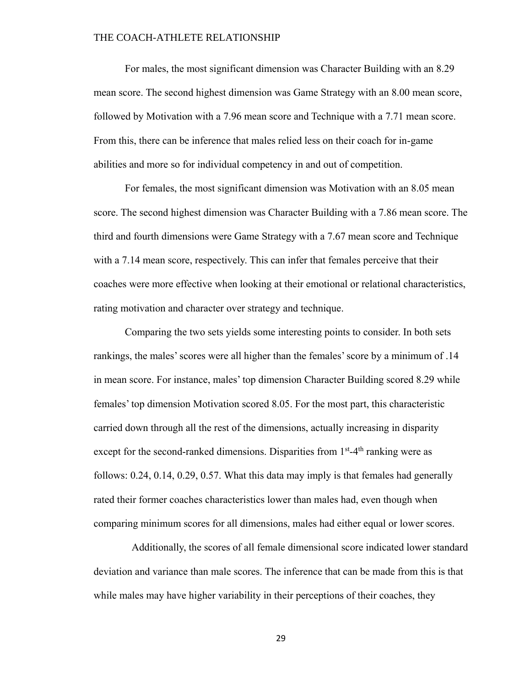For males, the most significant dimension was Character Building with an 8.29 mean score. The second highest dimension was Game Strategy with an 8.00 mean score, followed by Motivation with a 7.96 mean score and Technique with a 7.71 mean score. From this, there can be inference that males relied less on their coach for in-game abilities and more so for individual competency in and out of competition.

For females, the most significant dimension was Motivation with an 8.05 mean score. The second highest dimension was Character Building with a 7.86 mean score. The third and fourth dimensions were Game Strategy with a 7.67 mean score and Technique with a 7.14 mean score, respectively. This can infer that females perceive that their coaches were more effective when looking at their emotional or relational characteristics, rating motivation and character over strategy and technique.

Comparing the two sets yields some interesting points to consider. In both sets rankings, the males' scores were all higher than the females' score by a minimum of .14 in mean score. For instance, males' top dimension Character Building scored 8.29 while females' top dimension Motivation scored 8.05. For the most part, this characteristic carried down through all the rest of the dimensions, actually increasing in disparity except for the second-ranked dimensions. Disparities from  $1<sup>st</sup>$ -4<sup>th</sup> ranking were as follows: 0.24, 0.14, 0.29, 0.57. What this data may imply is that females had generally rated their former coaches characteristics lower than males had, even though when comparing minimum scores for all dimensions, males had either equal or lower scores.

Additionally, the scores of all female dimensional score indicated lower standard deviation and variance than male scores. The inference that can be made from this is that while males may have higher variability in their perceptions of their coaches, they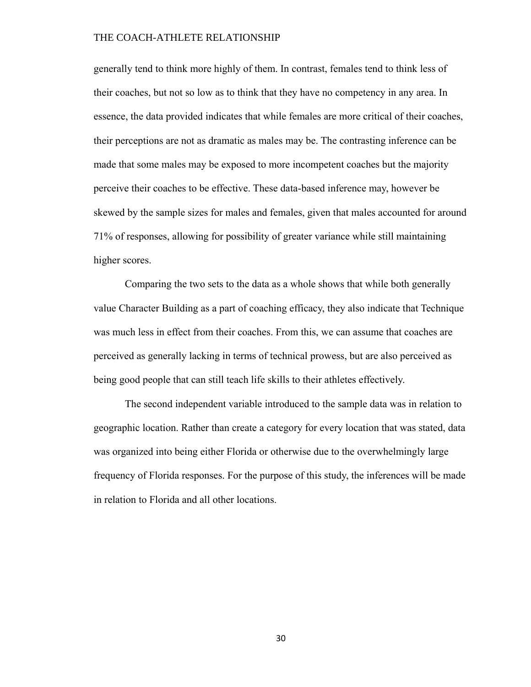generally tend to think more highly of them. In contrast, females tend to think less of their coaches, but not so low as to think that they have no competency in any area. In essence, the data provided indicates that while females are more critical of their coaches, their perceptions are not as dramatic as males may be. The contrasting inference can be made that some males may be exposed to more incompetent coaches but the majority perceive their coaches to be effective. These data-based inference may, however be skewed by the sample sizes for males and females, given that males accounted for around 71% of responses, allowing for possibility of greater variance while still maintaining higher scores.

Comparing the two sets to the data as a whole shows that while both generally value Character Building as a part of coaching efficacy, they also indicate that Technique was much less in effect from their coaches. From this, we can assume that coaches are perceived as generally lacking in terms of technical prowess, but are also perceived as being good people that can still teach life skills to their athletes effectively.

The second independent variable introduced to the sample data was in relation to geographic location. Rather than create a category for every location that was stated, data was organized into being either Florida or otherwise due to the overwhelmingly large frequency of Florida responses. For the purpose of this study, the inferences will be made in relation to Florida and all other locations.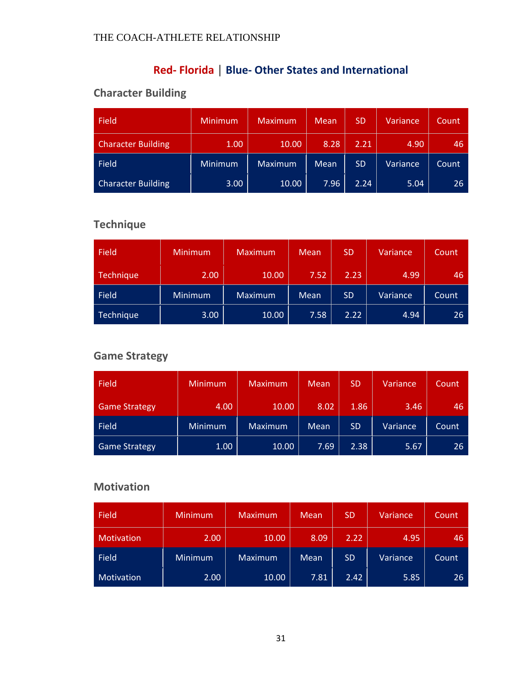## **Red- Florida │ Blue- Other States and International**

## **Character Building**

| Field                     | <b>Minimum</b> | <b>Maximum</b> | Mean | <b>SD</b> | Variance | Count |
|---------------------------|----------------|----------------|------|-----------|----------|-------|
| <b>Character Building</b> | 1.00           | 10.00          | 8.28 | 2.21      | 4.90     | 46    |
| Field                     | <b>Minimum</b> | <b>Maximum</b> | Mean | <b>SD</b> | Variance | Count |
| <b>Character Building</b> | 3.00           | 10.00          | 7.96 | 2.24      | 5.04     | 26    |

## **Technique**

| Field     | <b>Minimum</b> | <b>Maximum</b> | <b>Mean</b> | <b>SD</b> | Variance | Count |
|-----------|----------------|----------------|-------------|-----------|----------|-------|
| Technique | 2.00           | 10.00          | 7.52        | 2.23      | 4.99     | 46    |
| Field     | <b>Minimum</b> | Maximum        | <b>Mean</b> | <b>SD</b> | Variance | Count |
| Technique | 3.00           | 10.00          | 7.58        | 2.22      | 4.94     | 26    |

## **Game Strategy**

| <b>Field</b>         | Minimum | Maximum | Mean | <b>SD</b> | Variance | Count |
|----------------------|---------|---------|------|-----------|----------|-------|
| <b>Game Strategy</b> | 4.00    | 10.00   | 8.02 | 1.86      | 3.46     | 46    |
| Field                | Minimum | Maximum | Mean | <b>SD</b> | Variance | Count |
| <b>Game Strategy</b> | 1.00    | 10.00   | 7.69 | 2.38      | 5.67     | 26    |

## **Motivation**

| <b>Field</b> | <b>Minimum</b> | <b>Maximum</b> | Mean | <b>SD</b> | Variance | Count |
|--------------|----------------|----------------|------|-----------|----------|-------|
| Motivation   | 2.00           | 10.00          | 8.09 | 2.22      | 4.95     | 46    |
| Field        | <b>Minimum</b> | <b>Maximum</b> | Mean | <b>SD</b> | Variance | Count |
| Motivation   | 2.00           | 10.00          | 7.81 | 2.42      | 5.85     | 26    |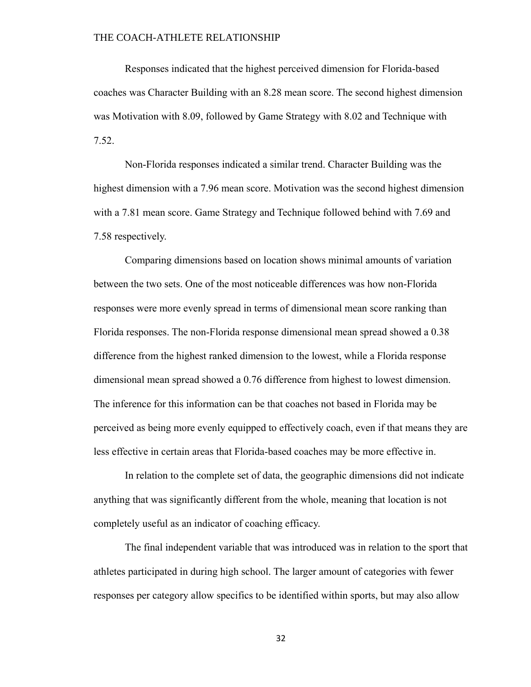Responses indicated that the highest perceived dimension for Florida-based coaches was Character Building with an 8.28 mean score. The second highest dimension was Motivation with 8.09, followed by Game Strategy with 8.02 and Technique with 7.52.

Non-Florida responses indicated a similar trend. Character Building was the highest dimension with a 7.96 mean score. Motivation was the second highest dimension with a 7.81 mean score. Game Strategy and Technique followed behind with 7.69 and 7.58 respectively.

Comparing dimensions based on location shows minimal amounts of variation between the two sets. One of the most noticeable differences was how non-Florida responses were more evenly spread in terms of dimensional mean score ranking than Florida responses. The non-Florida response dimensional mean spread showed a 0.38 difference from the highest ranked dimension to the lowest, while a Florida response dimensional mean spread showed a 0.76 difference from highest to lowest dimension. The inference for this information can be that coaches not based in Florida may be perceived as being more evenly equipped to effectively coach, even if that means they are less effective in certain areas that Florida-based coaches may be more effective in.

In relation to the complete set of data, the geographic dimensions did not indicate anything that was significantly different from the whole, meaning that location is not completely useful as an indicator of coaching efficacy.

The final independent variable that was introduced was in relation to the sport that athletes participated in during high school. The larger amount of categories with fewer responses per category allow specifics to be identified within sports, but may also allow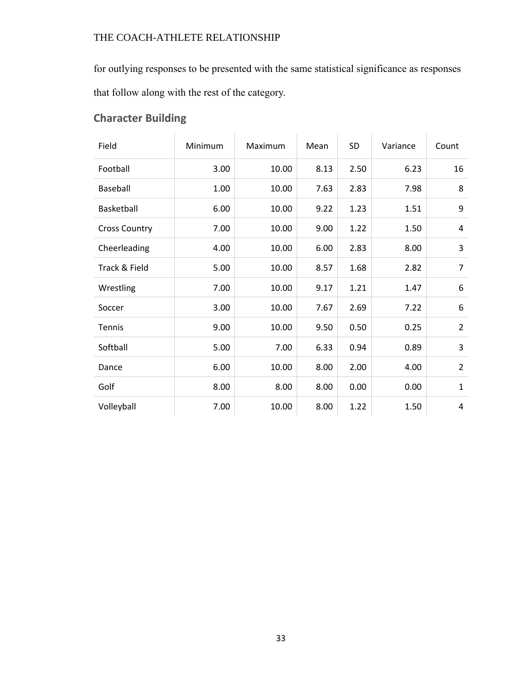for outlying responses to be presented with the same statistical significance as responses that follow along with the rest of the category.

## **Character Building**

| Field                | Minimum | Maximum | Mean | SD   | Variance | Count          |
|----------------------|---------|---------|------|------|----------|----------------|
| Football             | 3.00    | 10.00   | 8.13 | 2.50 | 6.23     | 16             |
| Baseball             | 1.00    | 10.00   | 7.63 | 2.83 | 7.98     | 8              |
| Basketball           | 6.00    | 10.00   | 9.22 | 1.23 | 1.51     | 9              |
| <b>Cross Country</b> | 7.00    | 10.00   | 9.00 | 1.22 | 1.50     | 4              |
| Cheerleading         | 4.00    | 10.00   | 6.00 | 2.83 | 8.00     | 3              |
| Track & Field        | 5.00    | 10.00   | 8.57 | 1.68 | 2.82     | $\overline{7}$ |
| Wrestling            | 7.00    | 10.00   | 9.17 | 1.21 | 1.47     | 6              |
| Soccer               | 3.00    | 10.00   | 7.67 | 2.69 | 7.22     | 6              |
| Tennis               | 9.00    | 10.00   | 9.50 | 0.50 | 0.25     | $\overline{2}$ |
| Softball             | 5.00    | 7.00    | 6.33 | 0.94 | 0.89     | 3              |
| Dance                | 6.00    | 10.00   | 8.00 | 2.00 | 4.00     | $\overline{2}$ |
| Golf                 | 8.00    | 8.00    | 8.00 | 0.00 | 0.00     | $\mathbf{1}$   |
| Volleyball           | 7.00    | 10.00   | 8.00 | 1.22 | 1.50     | 4              |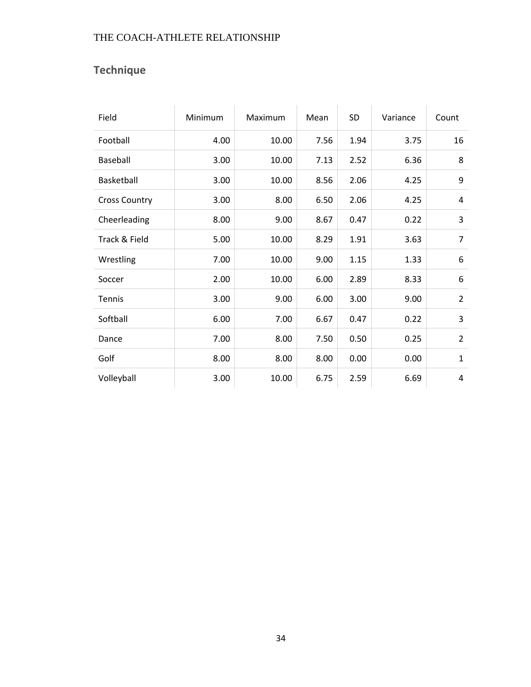## **Technique**

| Field                | Minimum | Maximum | Mean | SD   | Variance | Count          |
|----------------------|---------|---------|------|------|----------|----------------|
| Football             | 4.00    | 10.00   | 7.56 | 1.94 | 3.75     | 16             |
| Baseball             | 3.00    | 10.00   | 7.13 | 2.52 | 6.36     | 8              |
| Basketball           | 3.00    | 10.00   | 8.56 | 2.06 | 4.25     | 9              |
| <b>Cross Country</b> | 3.00    | 8.00    | 6.50 | 2.06 | 4.25     | 4              |
| Cheerleading         | 8.00    | 9.00    | 8.67 | 0.47 | 0.22     | 3              |
| Track & Field        | 5.00    | 10.00   | 8.29 | 1.91 | 3.63     | $\overline{7}$ |
| Wrestling            | 7.00    | 10.00   | 9.00 | 1.15 | 1.33     | 6              |
| Soccer               | 2.00    | 10.00   | 6.00 | 2.89 | 8.33     | 6              |
| Tennis               | 3.00    | 9.00    | 6.00 | 3.00 | 9.00     | $\overline{2}$ |
| Softball             | 6.00    | 7.00    | 6.67 | 0.47 | 0.22     | 3              |
| Dance                | 7.00    | 8.00    | 7.50 | 0.50 | 0.25     | $\overline{2}$ |
| Golf                 | 8.00    | 8.00    | 8.00 | 0.00 | 0.00     | $\mathbf{1}$   |
| Volleyball           | 3.00    | 10.00   | 6.75 | 2.59 | 6.69     | 4              |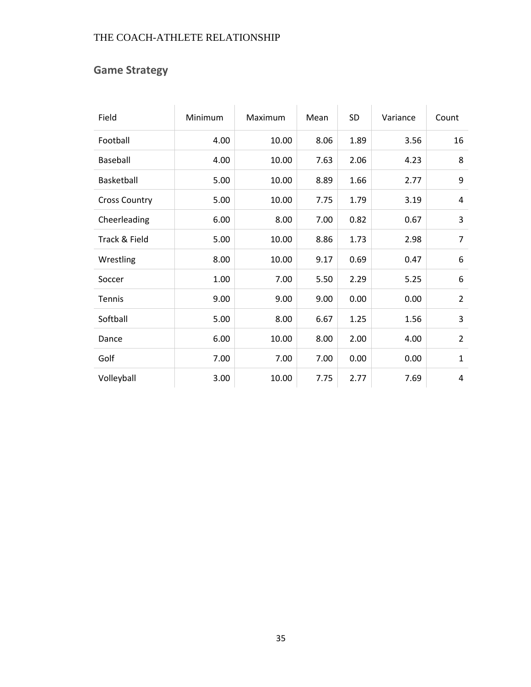## **Game Strategy**

| Field                | Minimum | Maximum | Mean | <b>SD</b> | Variance | Count          |
|----------------------|---------|---------|------|-----------|----------|----------------|
| Football             | 4.00    | 10.00   | 8.06 | 1.89      | 3.56     | 16             |
| <b>Baseball</b>      | 4.00    | 10.00   | 7.63 | 2.06      | 4.23     | 8              |
| Basketball           | 5.00    | 10.00   | 8.89 | 1.66      | 2.77     | 9              |
| <b>Cross Country</b> | 5.00    | 10.00   | 7.75 | 1.79      | 3.19     | 4              |
| Cheerleading         | 6.00    | 8.00    | 7.00 | 0.82      | 0.67     | 3              |
| Track & Field        | 5.00    | 10.00   | 8.86 | 1.73      | 2.98     | 7              |
| Wrestling            | 8.00    | 10.00   | 9.17 | 0.69      | 0.47     | 6              |
| Soccer               | 1.00    | 7.00    | 5.50 | 2.29      | 5.25     | 6              |
| <b>Tennis</b>        | 9.00    | 9.00    | 9.00 | 0.00      | 0.00     | $\overline{2}$ |
| Softball             | 5.00    | 8.00    | 6.67 | 1.25      | 1.56     | 3              |
| Dance                | 6.00    | 10.00   | 8.00 | 2.00      | 4.00     | $\overline{2}$ |
| Golf                 | 7.00    | 7.00    | 7.00 | 0.00      | 0.00     | $\mathbf{1}$   |
| Volleyball           | 3.00    | 10.00   | 7.75 | 2.77      | 7.69     | 4              |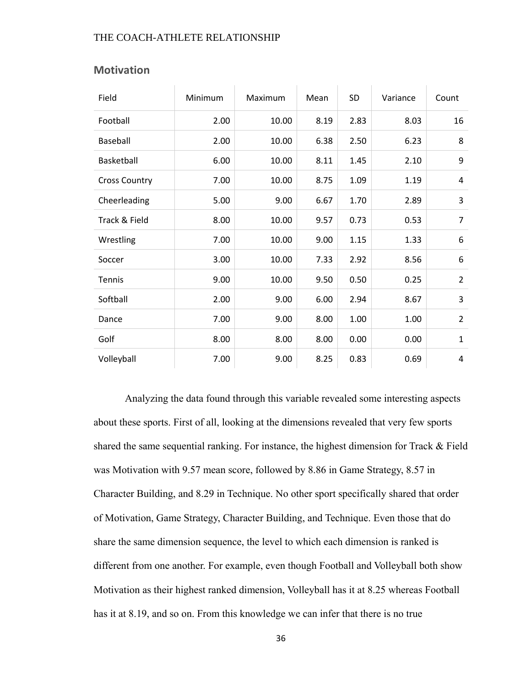| Field                | Minimum | Maximum | Mean | <b>SD</b> | Variance | Count          |
|----------------------|---------|---------|------|-----------|----------|----------------|
| Football             | 2.00    | 10.00   | 8.19 | 2.83      | 8.03     | 16             |
| Baseball             | 2.00    | 10.00   | 6.38 | 2.50      | 6.23     | 8              |
| Basketball           | 6.00    | 10.00   | 8.11 | 1.45      | 2.10     | 9              |
| <b>Cross Country</b> | 7.00    | 10.00   | 8.75 | 1.09      | 1.19     | $\overline{4}$ |
| Cheerleading         | 5.00    | 9.00    | 6.67 | 1.70      | 2.89     | 3              |
| Track & Field        | 8.00    | 10.00   | 9.57 | 0.73      | 0.53     | $\overline{7}$ |
| Wrestling            | 7.00    | 10.00   | 9.00 | 1.15      | 1.33     | 6              |
| Soccer               | 3.00    | 10.00   | 7.33 | 2.92      | 8.56     | 6              |
| Tennis               | 9.00    | 10.00   | 9.50 | 0.50      | 0.25     | $\overline{2}$ |
| Softball             | 2.00    | 9.00    | 6.00 | 2.94      | 8.67     | 3              |
| Dance                | 7.00    | 9.00    | 8.00 | 1.00      | 1.00     | $\overline{2}$ |
| Golf                 | 8.00    | 8.00    | 8.00 | 0.00      | 0.00     | $\mathbf{1}$   |
| Volleyball           | 7.00    | 9.00    | 8.25 | 0.83      | 0.69     | 4              |

### **Motivation**

Analyzing the data found through this variable revealed some interesting aspects about these sports. First of all, looking at the dimensions revealed that very few sports shared the same sequential ranking. For instance, the highest dimension for Track & Field was Motivation with 9.57 mean score, followed by 8.86 in Game Strategy, 8.57 in Character Building, and 8.29 in Technique. No other sport specifically shared that order of Motivation, Game Strategy, Character Building, and Technique. Even those that do share the same dimension sequence, the level to which each dimension is ranked is different from one another. For example, even though Football and Volleyball both show Motivation as their highest ranked dimension, Volleyball has it at 8.25 whereas Football has it at 8.19, and so on. From this knowledge we can infer that there is no true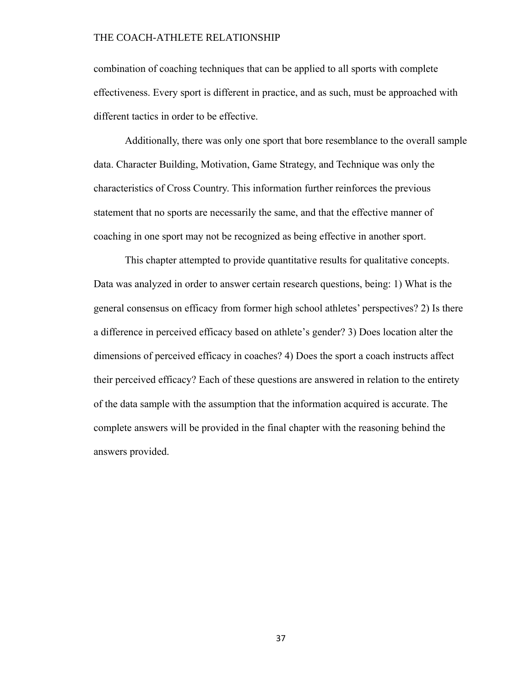combination of coaching techniques that can be applied to all sports with complete effectiveness. Every sport is different in practice, and as such, must be approached with different tactics in order to be effective.

Additionally, there was only one sport that bore resemblance to the overall sample data. Character Building, Motivation, Game Strategy, and Technique was only the characteristics of Cross Country. This information further reinforces the previous statement that no sports are necessarily the same, and that the effective manner of coaching in one sport may not be recognized as being effective in another sport.

This chapter attempted to provide quantitative results for qualitative concepts. Data was analyzed in order to answer certain research questions, being: 1) What is the general consensus on efficacy from former high school athletes' perspectives? 2) Is there a difference in perceived efficacy based on athlete's gender? 3) Does location alter the dimensions of perceived efficacy in coaches? 4) Does the sport a coach instructs affect their perceived efficacy? Each of these questions are answered in relation to the entirety of the data sample with the assumption that the information acquired is accurate. The complete answers will be provided in the final chapter with the reasoning behind the answers provided.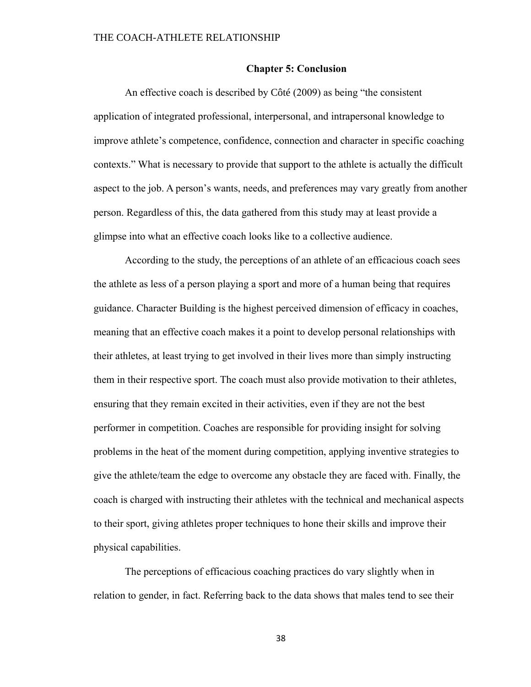### **Chapter 5: Conclusion**

An effective coach is described by Côté (2009) as being "the consistent application of integrated professional, interpersonal, and intrapersonal knowledge to improve athlete's competence, confidence, connection and character in specific coaching contexts." What is necessary to provide that support to the athlete is actually the difficult aspect to the job. A person's wants, needs, and preferences may vary greatly from another person. Regardless of this, the data gathered from this study may at least provide a glimpse into what an effective coach looks like to a collective audience.

According to the study, the perceptions of an athlete of an efficacious coach sees the athlete as less of a person playing a sport and more of a human being that requires guidance. Character Building is the highest perceived dimension of efficacy in coaches, meaning that an effective coach makes it a point to develop personal relationships with their athletes, at least trying to get involved in their lives more than simply instructing them in their respective sport. The coach must also provide motivation to their athletes, ensuring that they remain excited in their activities, even if they are not the best performer in competition. Coaches are responsible for providing insight for solving problems in the heat of the moment during competition, applying inventive strategies to give the athlete/team the edge to overcome any obstacle they are faced with. Finally, the coach is charged with instructing their athletes with the technical and mechanical aspects to their sport, giving athletes proper techniques to hone their skills and improve their physical capabilities.

The perceptions of efficacious coaching practices do vary slightly when in relation to gender, in fact. Referring back to the data shows that males tend to see their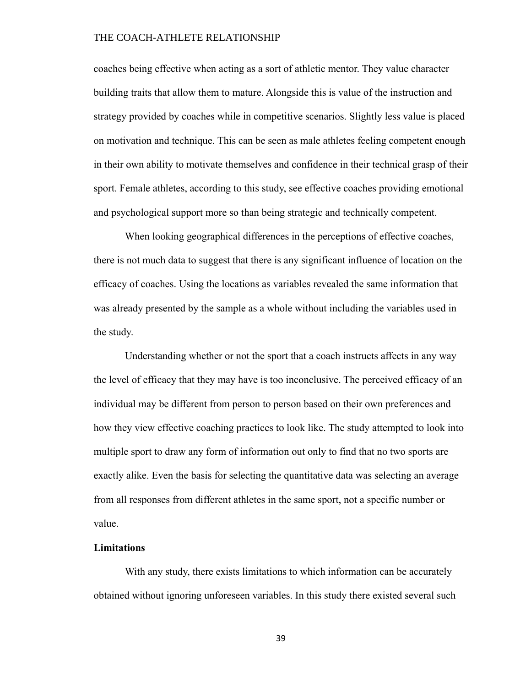coaches being effective when acting as a sort of athletic mentor. They value character building traits that allow them to mature. Alongside this is value of the instruction and strategy provided by coaches while in competitive scenarios. Slightly less value is placed on motivation and technique. This can be seen as male athletes feeling competent enough in their own ability to motivate themselves and confidence in their technical grasp of their sport. Female athletes, according to this study, see effective coaches providing emotional and psychological support more so than being strategic and technically competent.

When looking geographical differences in the perceptions of effective coaches, there is not much data to suggest that there is any significant influence of location on the efficacy of coaches. Using the locations as variables revealed the same information that was already presented by the sample as a whole without including the variables used in the study.

Understanding whether or not the sport that a coach instructs affects in any way the level of efficacy that they may have is too inconclusive. The perceived efficacy of an individual may be different from person to person based on their own preferences and how they view effective coaching practices to look like. The study attempted to look into multiple sport to draw any form of information out only to find that no two sports are exactly alike. Even the basis for selecting the quantitative data was selecting an average from all responses from different athletes in the same sport, not a specific number or value.

### **Limitations**

With any study, there exists limitations to which information can be accurately obtained without ignoring unforeseen variables. In this study there existed several such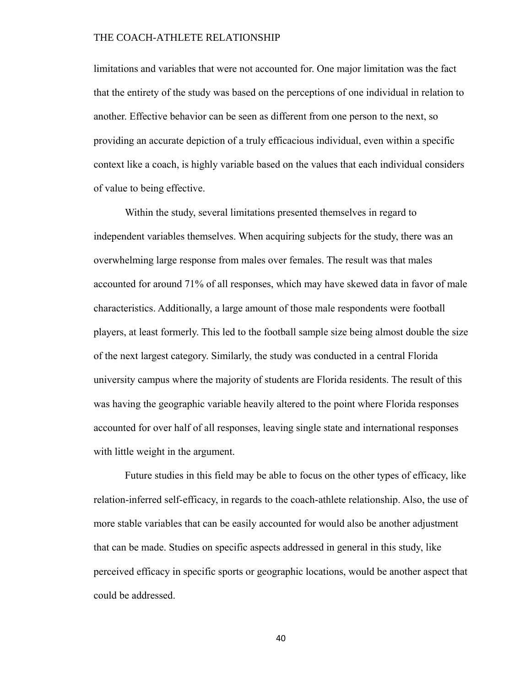limitations and variables that were not accounted for. One major limitation was the fact that the entirety of the study was based on the perceptions of one individual in relation to another. Effective behavior can be seen as different from one person to the next, so providing an accurate depiction of a truly efficacious individual, even within a specific context like a coach, is highly variable based on the values that each individual considers of value to being effective.

Within the study, several limitations presented themselves in regard to independent variables themselves. When acquiring subjects for the study, there was an overwhelming large response from males over females. The result was that males accounted for around 71% of all responses, which may have skewed data in favor of male characteristics. Additionally, a large amount of those male respondents were football players, at least formerly. This led to the football sample size being almost double the size of the next largest category. Similarly, the study was conducted in a central Florida university campus where the majority of students are Florida residents. The result of this was having the geographic variable heavily altered to the point where Florida responses accounted for over half of all responses, leaving single state and international responses with little weight in the argument.

Future studies in this field may be able to focus on the other types of efficacy, like relation-inferred self-efficacy, in regards to the coach-athlete relationship. Also, the use of more stable variables that can be easily accounted for would also be another adjustment that can be made. Studies on specific aspects addressed in general in this study, like perceived efficacy in specific sports or geographic locations, would be another aspect that could be addressed.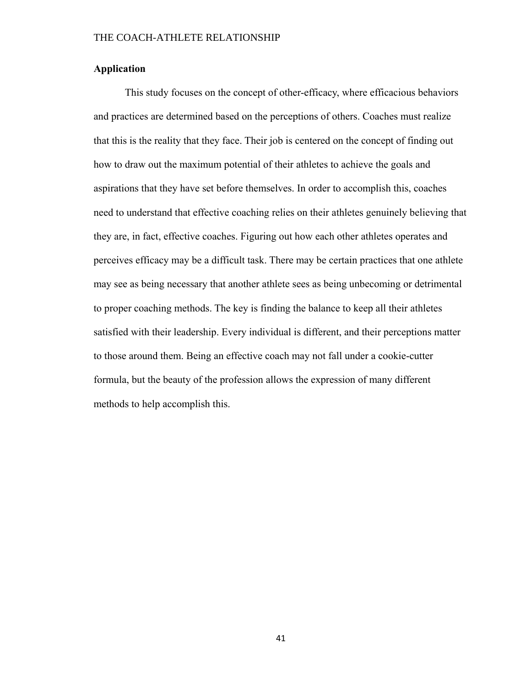### **Application**

This study focuses on the concept of other-efficacy, where efficacious behaviors and practices are determined based on the perceptions of others. Coaches must realize that this is the reality that they face. Their job is centered on the concept of finding out how to draw out the maximum potential of their athletes to achieve the goals and aspirations that they have set before themselves. In order to accomplish this, coaches need to understand that effective coaching relies on their athletes genuinely believing that they are, in fact, effective coaches. Figuring out how each other athletes operates and perceives efficacy may be a difficult task. There may be certain practices that one athlete may see as being necessary that another athlete sees as being unbecoming or detrimental to proper coaching methods. The key is finding the balance to keep all their athletes satisfied with their leadership. Every individual is different, and their perceptions matter to those around them. Being an effective coach may not fall under a cookie-cutter formula, but the beauty of the profession allows the expression of many different methods to help accomplish this.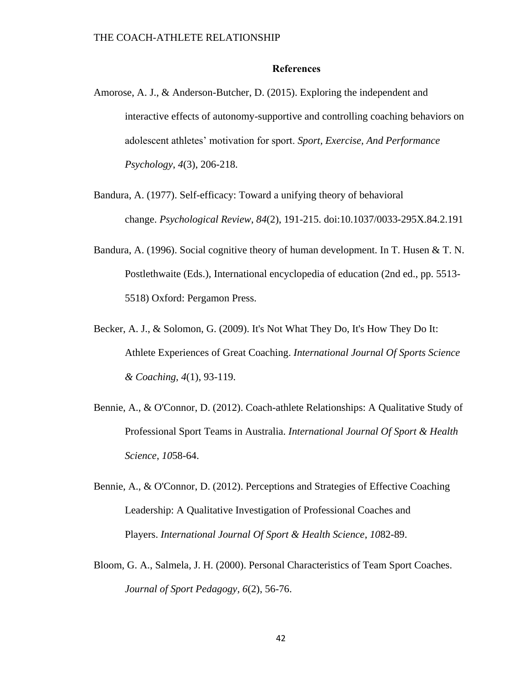### **References**

- Amorose, A. J., & Anderson-Butcher, D. (2015). Exploring the independent and interactive effects of autonomy-supportive and controlling coaching behaviors on adolescent athletes' motivation for sport. *Sport, Exercise, And Performance Psychology*, *4*(3), 206-218.
- Bandura, A. (1977). Self-efficacy: Toward a unifying theory of behavioral change. *Psychological Review*, *84*(2), 191-215. doi:10.1037/0033-295X.84.2.191
- Bandura, A. (1996). Social cognitive theory of human development. In T. Husen & T. N. Postlethwaite (Eds.), International encyclopedia of education (2nd ed., pp. 5513- 5518) Oxford: Pergamon Press.
- Becker, A. J., & Solomon, G. (2009). It's Not What They Do, It's How They Do It: Athlete Experiences of Great Coaching. *International Journal Of Sports Science & Coaching*, *4*(1), 93-119.
- Bennie, A., & O'Connor, D. (2012). Coach-athlete Relationships: A Qualitative Study of Professional Sport Teams in Australia. *International Journal Of Sport & Health Science*, *10*58-64.
- Bennie, A., & O'Connor, D. (2012). Perceptions and Strategies of Effective Coaching Leadership: A Qualitative Investigation of Professional Coaches and Players. *International Journal Of Sport & Health Science*, *10*82-89.
- Bloom, G. A., Salmela, J. H. (2000). Personal Characteristics of Team Sport Coaches. *Journal of Sport Pedagogy, 6*(2), 56-76.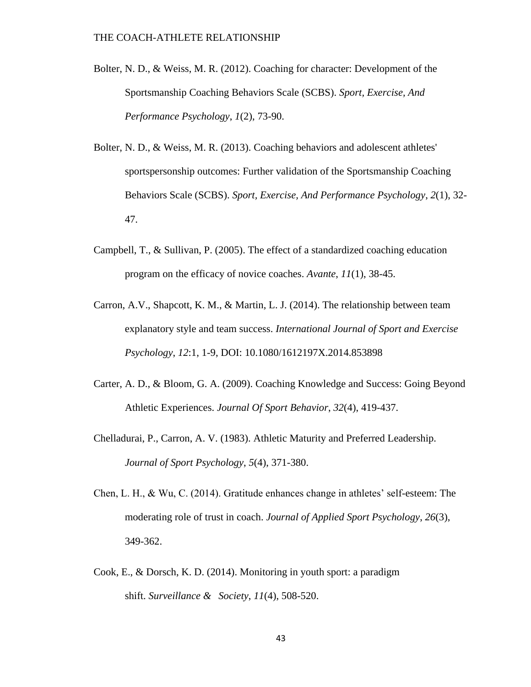- Bolter, N. D., & Weiss, M. R. (2012). Coaching for character: Development of the Sportsmanship Coaching Behaviors Scale (SCBS). *Sport, Exercise, And Performance Psychology*, *1*(2), 73-90.
- Bolter, N. D., & Weiss, M. R. (2013). Coaching behaviors and adolescent athletes' sportspersonship outcomes: Further validation of the Sportsmanship Coaching Behaviors Scale (SCBS). *Sport, Exercise, And Performance Psychology*, *2*(1), 32- 47.
- Campbell, T., & Sullivan, P. (2005). The effect of a standardized coaching education program on the efficacy of novice coaches. *Avante*, *11*(1), 38-45.
- Carron, A.V., Shapcott, K. M., & Martin, L. J. (2014). The relationship between team explanatory style and team success. *International Journal of Sport and Exercise Psychology*, *12*:1, 1-9, DOI: 10.1080/1612197X.2014.853898
- Carter, A. D., & Bloom, G. A. (2009). Coaching Knowledge and Success: Going Beyond Athletic Experiences. *Journal Of Sport Behavior*, *32*(4), 419-437.
- Chelladurai, P., Carron, A. V. (1983). Athletic Maturity and Preferred Leadership. *Journal of Sport Psychology*, *5*(4), 371-380.
- Chen, L. H., & Wu, C. (2014). Gratitude enhances change in athletes' self-esteem: The moderating role of trust in coach. *Journal of Applied Sport Psychology*, *26*(3), 349-362.
- Cook, E., & Dorsch, K. D. (2014). Monitoring in youth sport: a paradigm shift. *Surveillance & Society*, *11*(4), 508-520.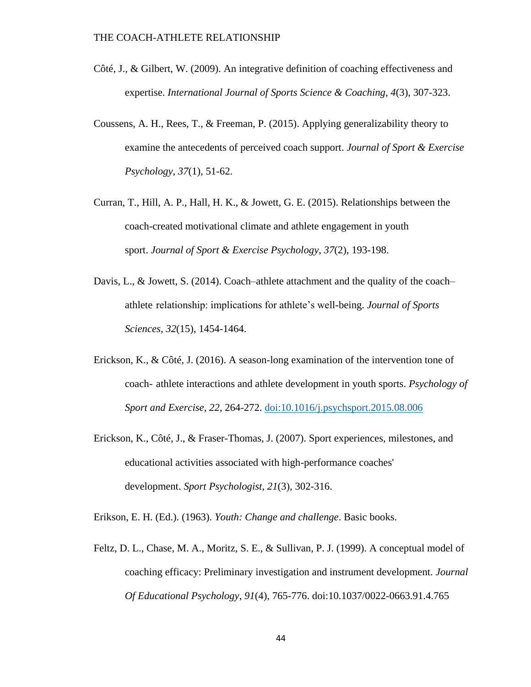- Côté, J., & Gilbert, W. (2009). An integrative definition of coaching effectiveness and expertise. *International Journal of Sports Science & Coaching*, *4*(3), 307-323.
- Coussens, A. H., Rees, T., & Freeman, P. (2015). Applying generalizability theory to examine the antecedents of perceived coach support. *Journal of Sport & Exercise Psychology*, *37*(1), 51-62.
- Curran, T., Hill, A. P., Hall, H. K., & Jowett, G. E. (2015). Relationships between the coach-created motivational climate and athlete engagement in youth sport. *Journal of Sport & Exercise Psychology*, *37*(2), 193-198.
- Davis, L., & Jowett, S. (2014). Coach–athlete attachment and the quality of the coach– athlete relationship: implications for athlete's well-being. *Journal of Sports Sciences*, *32*(15), 1454-1464.
- Erickson, K., & Côté, J. (2016). A season-long examination of the intervention tone of coach- athlete interactions and athlete development in youth sports. *Psychology of Sport and Exercise, 22,* 264-272. doi:10.1016/j.psychsport.2015.08.006
- Erickson, K., Côté, J., & Fraser-Thomas, J. (2007). Sport experiences, milestones, and educational activities associated with high-performance coaches' development. *Sport Psychologist*, *21*(3), 302-316.

Erikson, E. H. (Ed.). (1963). *Youth: Change and challenge*. Basic books.

Feltz, D. L., Chase, M. A., Moritz, S. E., & Sullivan, P. J. (1999). A conceptual model of coaching efficacy: Preliminary investigation and instrument development. *Journal Of Educational Psychology*, *91*(4), 765-776. doi:10.1037/0022-0663.91.4.765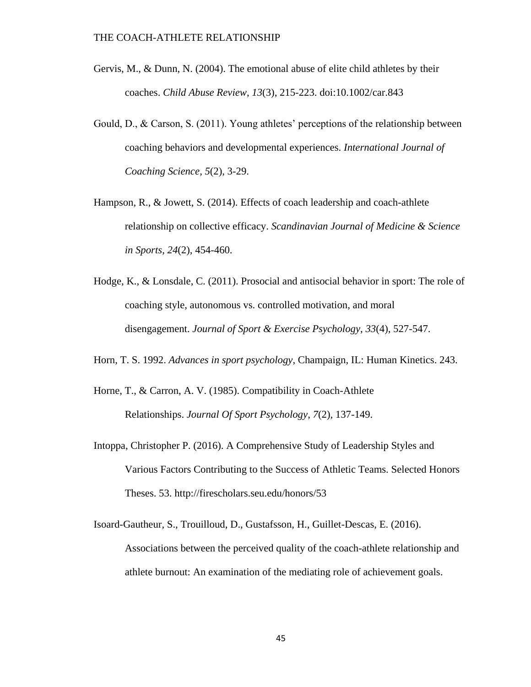- Gervis, M., & Dunn, N. (2004). The emotional abuse of elite child athletes by their coaches. *Child Abuse Review*, *13*(3), 215-223. doi:10.1002/car.843
- Gould, D., & Carson, S. (2011). Young athletes' perceptions of the relationship between coaching behaviors and developmental experiences. *International Journal of Coaching Science*, *5*(2), 3-29.
- Hampson, R., & Jowett, S. (2014). Effects of coach leadership and coach-athlete relationship on collective efficacy. *Scandinavian Journal of Medicine & Science in Sports*, *24*(2), 454-460.
- Hodge, K., & Lonsdale, C. (2011). Prosocial and antisocial behavior in sport: The role of coaching style, autonomous vs. controlled motivation, and moral disengagement. *Journal of Sport & Exercise Psychology*, *33*(4), 527-547.
- Horn, T. S. 1992. *Advances in sport psychology*, Champaign, IL: Human Kinetics. 243.
- Horne, T., & Carron, A. V. (1985). Compatibility in Coach-Athlete Relationships. *Journal Of Sport Psychology*, *7*(2), 137-149.
- Intoppa, Christopher P. (2016). A Comprehensive Study of Leadership Styles and Various Factors Contributing to the Success of Athletic Teams. Selected Honors Theses. 53. http://firescholars.seu.edu/honors/53
- Isoard-Gautheur, S., Trouilloud, D., Gustafsson, H., Guillet-Descas, E. (2016). Associations between the perceived quality of the coach-athlete relationship and athlete burnout: An examination of the mediating role of achievement goals.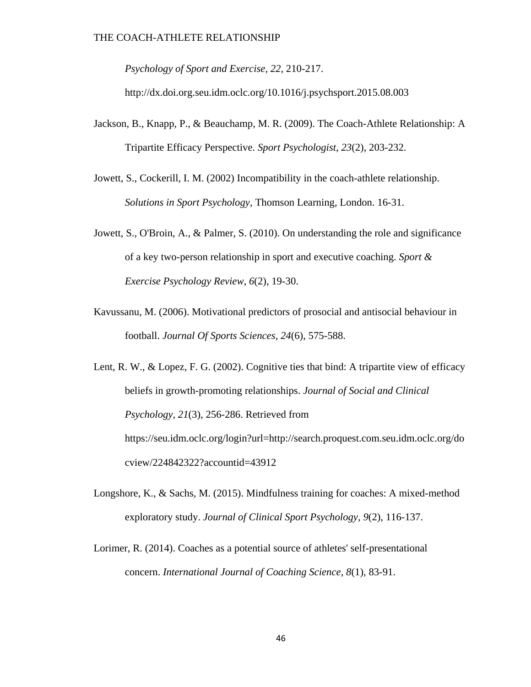*Psychology of Sport and Exercise, 22*, 210-217.

http://dx.doi.org.seu.idm.oclc.org/10.1016/j.psychsport.2015.08.003

- Jackson, B., Knapp, P., & Beauchamp, M. R. (2009). The Coach-Athlete Relationship: A Tripartite Efficacy Perspective. *Sport Psychologist*, *23*(2), 203-232.
- Jowett, S., Cockerill, I. M. (2002) Incompatibility in the coach-athlete relationship. *Solutions in Sport Psychology*, Thomson Learning, London. 16-31.
- Jowett, S., O'Broin, A., & Palmer, S. (2010). On understanding the role and significance of a key two-person relationship in sport and executive coaching. *Sport & Exercise Psychology Review*, *6*(2), 19-30.
- Kavussanu, M. (2006). Motivational predictors of prosocial and antisocial behaviour in football. *Journal Of Sports Sciences*, *24*(6), 575-588.
- Lent, R. W., & Lopez, F. G. (2002). Cognitive ties that bind: A tripartite view of efficacy beliefs in growth-promoting relationships. *Journal of Social and Clinical Psychology, 21*(3), 256-286. Retrieved from https://seu.idm.oclc.org/login?url=http://search.proquest.com.seu.idm.oclc.org/do cview/224842322?accountid=43912
- Longshore, K., & Sachs, M. (2015). Mindfulness training for coaches: A mixed-method exploratory study. *Journal of Clinical Sport Psychology*, *9*(2), 116-137.
- Lorimer, R. (2014). Coaches as a potential source of athletes' self-presentational concern. *International Journal of Coaching Science*, *8*(1), 83-91.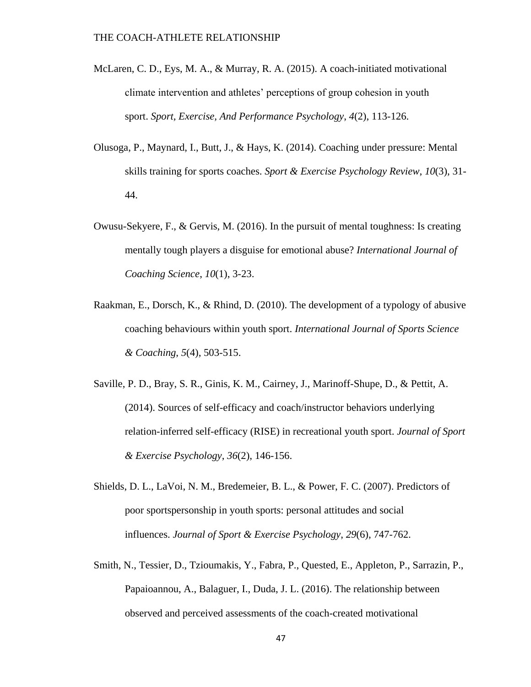- McLaren, C. D., Eys, M. A., & Murray, R. A. (2015). A coach-initiated motivational climate intervention and athletes' perceptions of group cohesion in youth sport. *Sport, Exercise, And Performance Psychology*, *4*(2), 113-126.
- Olusoga, P., Maynard, I., Butt, J., & Hays, K. (2014). Coaching under pressure: Mental skills training for sports coaches. *Sport & Exercise Psychology Review*, *10*(3), 31- 44.
- Owusu-Sekyere, F., & Gervis, M. (2016). In the pursuit of mental toughness: Is creating mentally tough players a disguise for emotional abuse? *International Journal of Coaching Science*, *10*(1), 3-23.
- Raakman, E., Dorsch, K., & Rhind, D. (2010). The development of a typology of abusive coaching behaviours within youth sport. *International Journal of Sports Science & Coaching*, *5*(4), 503-515.
- Saville, P. D., Bray, S. R., Ginis, K. M., Cairney, J., Marinoff-Shupe, D., & Pettit, A. (2014). Sources of self-efficacy and coach/instructor behaviors underlying relation-inferred self-efficacy (RISE) in recreational youth sport. *Journal of Sport & Exercise Psychology*, *36*(2), 146-156.
- Shields, D. L., LaVoi, N. M., Bredemeier, B. L., & Power, F. C. (2007). Predictors of poor sportspersonship in youth sports: personal attitudes and social influences. *Journal of Sport & Exercise Psychology*, *29*(6), 747-762.
- Smith, N., Tessier, D., Tzioumakis, Y., Fabra, P., Quested, E., Appleton, P., Sarrazin, P., Papaioannou, A., Balaguer, I., Duda, J. L. (2016). The relationship between observed and perceived assessments of the coach-created motivational